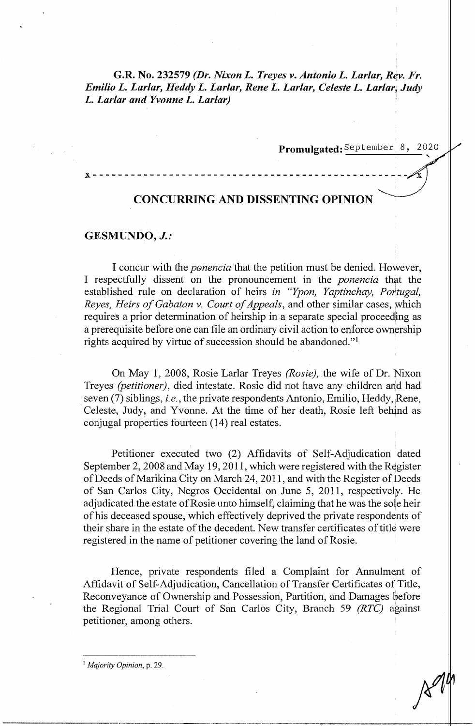# **G.R. No. 232579** *(Dr. Nixon L. Treyes v. Antonio L. Larlar, Rev. Fr. Emilio L. Larlar, Heddy L. Larlar, Rene L. Larlar, Celeste L. Larlar, Judy L. Larlar and Yvonne L. Larlar)* ·

Promulgated: September 8, 2020

# **x--------------------------------------------------**

# **CONCURRING AND DISSENTING OPINION**

#### **GESMUNDO,** *J.:*

I concur with the *ponencia* that the petition must be denied. However, I respectfully dissent on the pronouncement in the *ponencia* that the established rule on declaration of heirs *in "Ypon, Yaptinchay, Pohugal, Reyes, Heirs of Gabatan v. Court of Appeals, and other similar cases, which* requires a prior determination of heirship in a separate special proceeding as a prerequisite before one can file an ordinary civil action to enforce ownership rights acquired by virtue of succession should be abandoned."<sup>1</sup>

On May 1, 2008, Rosie Larlar Treyes *(Rosie),* the wife of Dr. Nixon Treyes *(petitioner),* died intestate. Rosie did not have any children and had seven (7) siblings, *i.e.*, the private respondents Antonio, Emilio, Heddy, Rene, Celeste, Judy, and Yvonne. At the time of her death, Rosie left behind as conjugal properties fourteen (14) real estates.

Petitioner executed two (2) Affidavits of Self-Adjudication dated September 2, 2008 and May 19, 2011, which were registered with the Register of Deeds of Marikina City on March 24, 2011, and with the Register of Deeds of San Carlos City, Negros Occidental on June 5, 2011, respectively. He adjudicated the estate of Rosie unto himself, claiming that he was the sole heir of his deceased spouse, which effectively deprived the private respondents of their share in the estate of the decedent. New transfer certificates of title were registered in the name of petitioner covering the land of Rosie.

Hence, private respondents filed a Complaint for Annulment of Affidavit of Self-Adjudication, Cancellation of Transfer Certificates of Title, Reconveyance of Ownership and Possession, Partition, and Damages before the Regional Trial Court of San Carlos City, Branch 59 *(RTC)* against petitioner, among others.

<sup>1</sup>*Majority Opinion,* p. 29.

-----------~--~--~-~--~~~,~~-,-----,,------------+!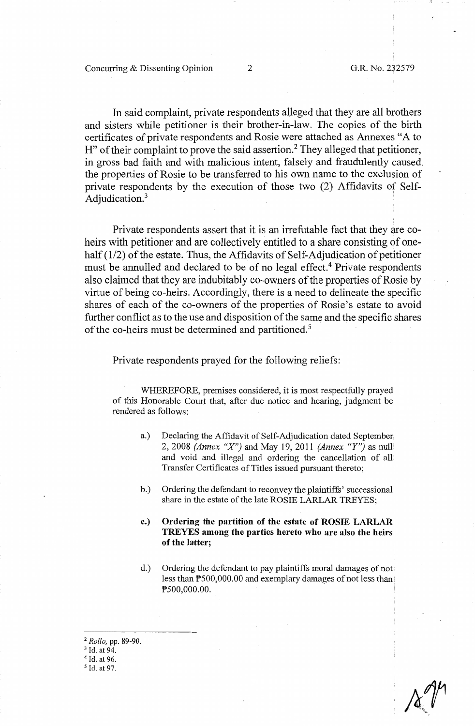In said complaint, private respondents alleged that they are all brothers and sisters while petitioner is their brother-in-law. The copies of the birth certificates of private respondents and Rosie were attached as Annexes "A to H" of their complaint to prove the said assertion.<sup>2</sup> They alleged that petitioner, in gross bad faith and with malicious intent, falsely and fraudulently caused, the properties of Rosie to be transferred to his own name to the exclusion of private respondents by the execution of those two (2) Affidavits of Self-Adjudication.<sup>3</sup>

Private respondents assert that it is an irrefutable fact that they are coheirs with petitioner and are collectively entitled to a share consisting of onehalf (1/2) of the estate. Thus, the Affidavits of Self-Adjudication of petitioner must be annulled and declared to be of no legal effect.<sup>4</sup> Private respondents also claimed that they are indubitably co-owners of the properties of Rosie by virtue of being co-heirs. Accordingly, there is a need to delineate the specific shares of each of the co-owners of the properties of Rosie's estate to avoid further conflict as to the use and disposition of the same and the specific shares of the co-heirs must be determined and partitioned.<sup>5</sup>

Private respondents prayed for the following reliefs:

WHEREFORE, premises considered, it is most respectfully prayed of this Honorable Court that, after due notice and hearing, judgment be rendered as follows:

- a.) Declaring the Affidavit of Self-Adjudication dated September. 2, 2008 *(Annex "X")* and May 19, 2011 *(Annex "Y")* as null and void and illegal and ordering the cancellation of all Transfer Certificates of Titles issued pursuant thereto;
- b.) Ordering the defendant to reconvey the plaintiffs' successional, share in the estate of the late ROSIE LARLAR TREYES;
- **c.) Ordering the partition of the estate of ROSIE LARLAR, TREYES among the parties hereto who are also the heirs: of the latter;**
- d.) Ordering the defendant to pay plaintiffs moral damages of not less than PS00,000.00 and exemplary damages of not less than PS00,000.00.

<sup>2</sup>*Rollo,* pp. 89-90.

<sup>5</sup> Id. at 97.

<sup>&</sup>lt;sup>3</sup> Id. at 94.

<sup>4</sup> Id. at 96.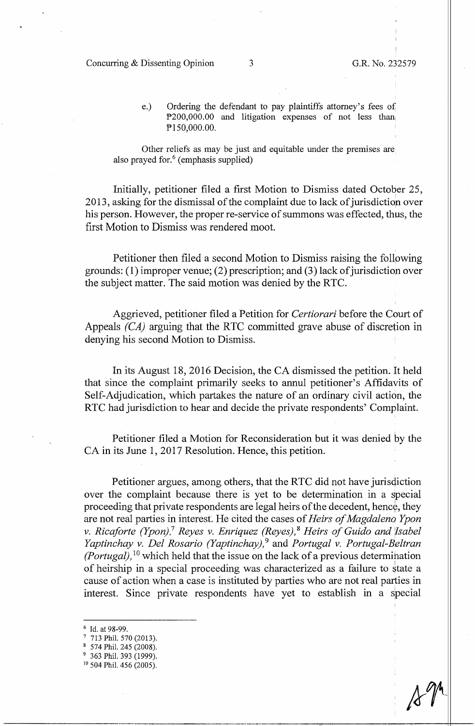#### Concurring & Dissenting Opinion 3 G.R. No. 232579

e.) Ordering the defendant to pay plaintiffs attorney's fees of  $P200,000.00$  and litigation expenses of not less than PIS0,000.00.

Other reliefs as may be just and equitable under the premises are also prayed for. $6$  (emphasis supplied)

Initially, petitioner filed a first Motion to Dismiss dated October 25, 2013, asking for the dismissal of the complaint due to lack of jurisdiction over his person. However, the proper re-service of summons was effected, thus, the first Motion to Dismiss was rendered moot.

Petitioner then filed a second Motion to Dismiss raising the follpwing grounds: ( 1) improper venue; (2) prescription; and (3) lack of jurisdiction over the subject matter. The said motion was denied by the RTC.

Aggrieved, petitioner filed a Petition for *Certiorari* before the Court of Appeals *(CA)* arguing that the RTC committed grave abuse of discretion in denying his second Motion to Dismiss.

In its August 18, 2016 Decision, the CA dismissed the petition. It held that since the complaint primarily seeks to annul petitioner's Affidavits of Self-Adjudication, which partakes the nature of an ordinary civil action, the RTC had jurisdiction to hear and decide the private respondents' Complaint.

Petitioner filed a Motion for Reconsideration but it was denied by the CA in its June 1, 2017 Resolution. Hence, this petition.

Petitioner argues, among others, that the RTC did not have jurisdiction over the complaint because there is yet to be determination in a special proceeding that private respondents are legal heirs of the decedent, hence, they are not real parties in interest. He cited the cases of *Heirs of Magdaleno Ypon v. Ricaforte (Ypon),*<sup>7</sup>*Reyes v. Enriquez (Reyes),* <sup>8</sup>*Heirs of Guido and Isabel Yaptinchay v. Del Rosario (Yaptinchay),* <sup>9</sup>and *Portugal v. Portugal-Beltran (Portugal),* 10 which held that the issue on the lack of a previous determination of heirship in a special proceeding was characterized as a failure to state a cause of action when a case is instituted by parties who are not real parties in interest. Since private respondents have yet to establish in a special

- 6 Id. at 98-99.
- 7 713 Phil. 570 (2013).
- <sup>8</sup>574 Phil. 245 (2008).
- 
- $9$  363 Phil. 393 (1999).<br><sup>10</sup> 504 Phil. 456 (2005).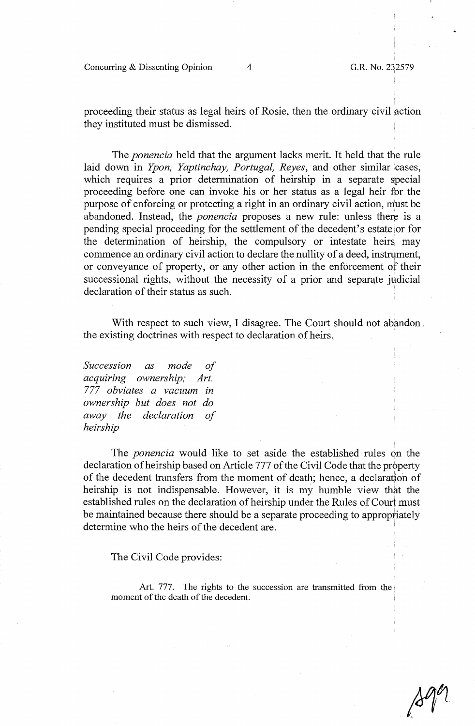**Concurring & Dissenting Opinion** 4 **G.R. No. 232579** 

proceeding their status as legal heirs of Rosie, then the ordinary civil action they instituted must be dismissed.

The *ponencia* held that the argument lacks merit. It held that the rule laid down in *Ypon, Yaptinchay, Portugal, Reyes,* and other similar cases, which requires a prior determination of heirship in a separate special proceeding before one can invoke his or her status as a legal heir for the purpose of enforcing or protecting a right in an ordinary civil action, must be abandoned. Instead, the *ponencia* proposes a new rule: unless there is a pending special proceeding for the settlement of the decedent's estate or for the determination of heirship, the compulsory or intestate heirs may commence an ordinary civil action to declare the nullity of a deed, instrument, or conveyance of property, or any other action in the enforcement of their successional rights, without the necessity of a prior and separate judicial declaration of their status as such.

With respect to such view, I disagree. The Court should not abandon, the existing doctrines with respect to declaration of heirs.

*Succession as mode of acquiring ownership; Art. 777 obviates a vacuum in ownership but does not do away the declaration of heirship* 

The *ponencia* would like to set aside the established rules on the declaration ofheirship based on Article 777 of the Civil Code that the property of the decedent transfers from the moment of death; hence, a declaration of heirship is not indispensable. However, it is my humble view that the established rules on the declaration of heirship under the Rules of Court must be maintained because there should be a separate proceeding to appropriately determine who the heirs of the decedent are.

The Civil Code provides:

Art. 777. The rights to the succession are transmitted from the moment of the death of the decedent.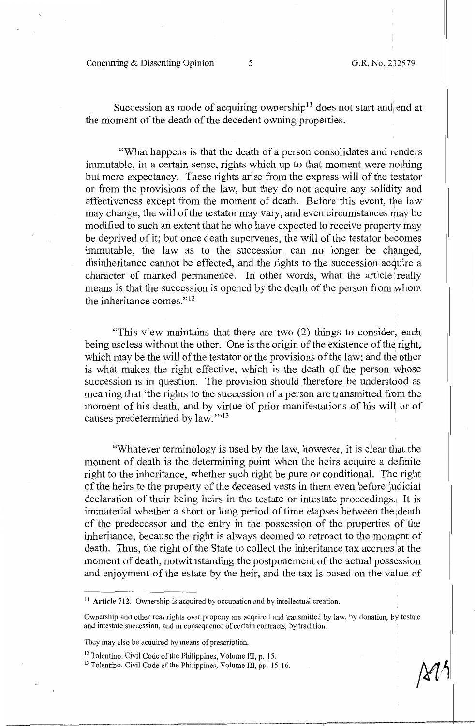Concurring & Dissenting Opinion 5 G.R. No. 232579

Succession as mode of acquiring ownership<sup>11</sup> does not start and end at the moment of the death of the decedent owning properties.

"What happens is that the death of a person consolidates and renders immutable, in a certain sense, rights which up to that moment were nothing but mere expectancy. These rights arise from the express will of the testator or from the provisions of the law, but they do not acquire any solidity and effectiveness except from the moment of death. Before this event, the law may change, the will of the testator may vary, and even circumstances may be modified to such an extent that he who have expected to receive property may be deprived of it; but once death supervenes, the will of the testator becomes immutable, the law as to the succession can no longer be changed, disinheritance cannot be effected, and the rights to the succession acquire a character of marked permanence. In other words, what the article really means is that the succession is opened by the death of the person from whom the inheritance comes." $^{12}$ 

"This view maintains that there are two (2) things to consider, each being useless without the other. One is the origin of the existence of the right, which may be the will of the testator or the provisions of the law; and the other is what makes the right effective, which is the death of the person whose succession is in question. The provision should therefore be understood as meaning that 'the rights to the succession of a person are transmitted from the moment of his death, and by virtue of prior manifestations of his will or of causes predetermined by law."<sup>13</sup>

"Whatever terminology is used by the law, however, it is clear that the moment of death is the determining point when the heirs acquire a definite right to the inheritance, whether such right be pure or conditional. The right of the heirs to the property of the deceased vests in them even before judicial declaration of their being heirs in the testate or intestate proceedings. It is immaterial whether a short or long period of time elapses between the death of the predecessor and the entry in the possession of the properties of the inheritance, because the right is always deemed to retroact to the moment of death. Thus, the right of the State to collect the inheritance tax accrues ' at the moment of death, notwithstanding the postponement of the actual possession and enjoyment of the estate by the heir, and the tax is based on the value of

<sup>11</sup> Article 712. Ownership is acquired by occupation and by intellectual creation.

Ownership and other real rights over property are acquired and transmitted by law, by donation, by testate and intestate succession, and in consequence of certain contracts, by tradition.

They may also be acquired by means of prescription.

<sup>12</sup> Tolentino, Civil Code of the Philippines, Volume III, p. 15.

<sup>&</sup>lt;sup>13</sup> Tolentino, Civil Code of the Philippines, Volume III, pp. 15-16.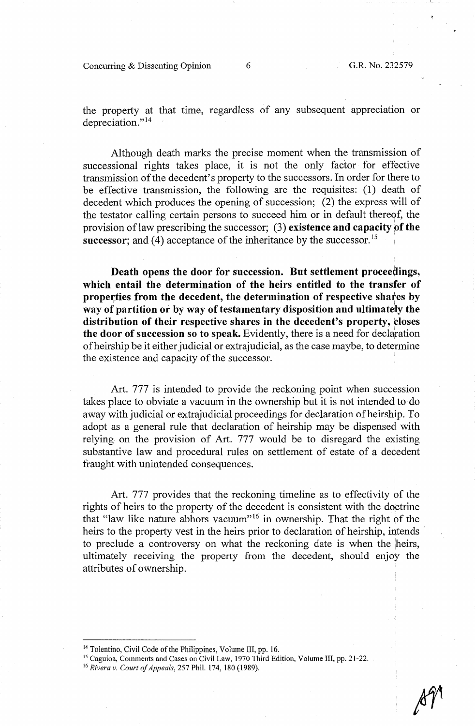Concurring & Dissenting Opinion 6 G.R. No. 232579

 $\mathbf{L}_{-}$ 

the property at that time, regardless of any subsequent appreciation or depreciation."<sup>14</sup>

Although death marks the precise moment when the transmission of successional rights takes place, it is not the only factor for effective transmission of the decedent's property to the successors. In order for there to be effective transmission, the following are the requisites: (1) death of decedent which produces the opening of succession;  $(2)$  the express will of the testator calling certain persons to succeed him or in default thereof, the provision of law prescribing the successor; (3) **existence and capacity of the successor;** and (4) acceptance of the inheritance by the successor.<sup>15</sup>

**Death opens the door for succession. But settlement proceedings, which entail the determination of the heirs entitled to the transfer of**  properties from the decedent, the determination of respective shares by way of partition or by way of testamentary disposition and ultimately the **distribution of their respective shares in the decedent's property, closes the door of succession so to speak.** Evidently, there is a need for declaration ofheirship be it either judicial or extra judicial, as the case maybe, to determine the existence and capacity of the successor.

Art. 777 is intended to provide the reckoning point when succession takes place to obviate a vacuum in the ownership but it is not intended to do away with judicial or extrajudicial proceedings for declaration of heirship. To adopt as a general rule that declaration of heirship may be dispensed with relying on the provision of Art. 777 would be to disregard the existing substantive law and procedural rules on settlement of estate of a decedent fraught with unintended consequences.

Art. 777 provides that the reckoning timeline as to effectivity of the rights of heirs to the property of the decedent is consistent with the doctrine that "law like nature abhors vacuum"<sup>16</sup> in ownership. That the right of the heirs to the property vest in the heirs prior to declaration of heirship, intends <sup>i</sup> to preclude a controversy on what the reckoning date is when the heirs, ultimately receiving the property from the decedent, should enjoy the attributes of ownership.

<sup>&</sup>lt;sup>14</sup> Tolentino, Civil Code of the Philippines, Volume III, pp. 16.

<sup>&</sup>lt;sup>15</sup> Caguioa, Comments and Cases on Civil Law, 1970 Third Edition, Volume III, pp. 21-22.

<sup>16</sup>*Rivera v. Court of Appeals,* 257 Phil. 174, 180 (1989).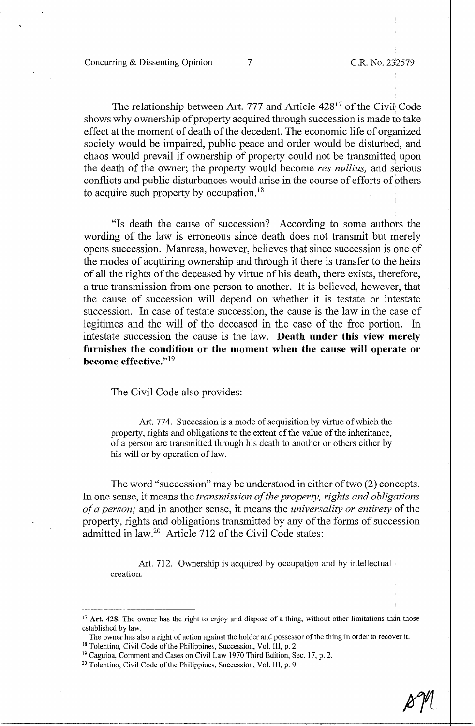The relationship between Art. 777 and Article 42817 of the Civil Code shows why ownership of property acquired through succession is made to take effect at the moment of death of the decedent. The economic life of organized society would be impaired, public peace and order would be disturbed, and chaos would prevail if ownership of property could not be transmitted upon the death of the owner; the property would become *res nullius,* and serious conflicts and public disturbances would arise in the course of efforts of others to acquire such property by occupation. <sup>18</sup>

"Is death the cause of succession? According to some authors the wording of the law is erroneous since death does not transmit but merely opens succession. Manresa, however, believes that since succession is one of the modes of acquiring ownership and through it there is transfer to the heirs of all the rights of the deceased by virtue of his death, there exists, therefore, a true transmission from one person to another. It is believed, however, that the cause of succession will depend on whether it is testate or intestate succession. In case of testate succession, the cause is the law in the case of legitimes and the will of the deceased in the case of the free portion. In intestate succession the cause is the law. **Death under this view merely furnishes the condition or the moment when the cause will operate or become effective.**"<sup>19</sup>

The Civil Code also provides:

Art. 774. Succession is a mode of acquisition by virtue of which the property, rights and obligations to the extent of the value of the inheritance, of a person are transmitted through his death to another or others either by his will or by operation of law.

The word "succession" may be understood in either of two (2) concepts. In one sense, it means the *transmission of the property, rights and obligations of a person;* and in another sense, it means the *universality or entirety* pf the property, rights and obligations transmitted by any of the forms of succession admitted in law.<sup>20</sup> Article 712 of the Civil Code states:

Art. 712. Ownership is acquired by occupation and by intellectual creation.

<sup>&</sup>lt;sup>17</sup> Art. 428. The owner has the right to enjoy and dispose of a thing, without other limitations than those established by law.

The owner has also a right of action against the holder and possessor of the thing in order to recover it.

<sup>&</sup>lt;sup>18</sup> Tolentino, Civil Code of the Philippines, Succession, Vol. III, p. 2.

<sup>&</sup>lt;sup>19</sup> Caguioa, Comment and Cases on Civil Law 1970 Third Edition, Sec. 17, p. 2. <sup>20</sup> Tolentino, Civil Code of the Philippines, Succession, Vol. III, p. 9.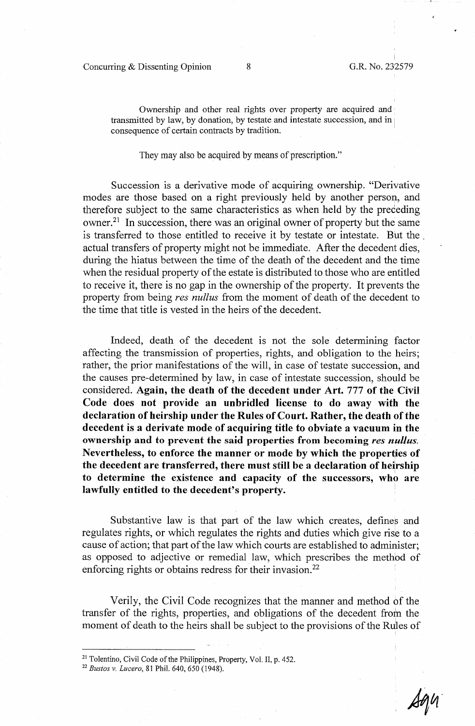Concurring & Dissenting Opinion 8 G.R. No. 232579

Ownership and other real rights over property are acquired and transmitted by law, by donation, by testate and intestate succession, and in consequence of certain contracts by tradition.

They may also be acquired by means of prescription."

Succession is a derivative mode of acquiring ownership. "Derivative modes are those based on a right previously held by another person, and therefore subject to the same characteristics as when held by the preceding owner.21 In succession, there was an original owner of property but the same is transferred to those entitled to receive it by testate or intestate. But the actual transfers of property might not be immediate. After the decedent dies, during the hiatus between the time of the death of the decedent and the time when the residual property of the estate is distributed to those who are entitled to receive it, there is no gap in the ownership of the property. It prevents the property from being *res nullus* from the moment of death of the decedent to the time that title is vested in the heirs of the decedent.

Indeed, death of the decedent is not the sole determining factor affecting the transmission of properties, rights, and obligation to the heirs; rather, the prior manifestations of the will, in case of testate succession, and the causes pre-determined by law, in case of intestate succession, should be considered. **Again, the death of the decedent under Art.** 777 **of the Civil Code does not provide an unbridled license to do away with the declaration of heirship under the Rules of Court. Rather, the death of the decedent is a derivate mode of acquiring title to obviate a vacuum in the ownership and to prevent the said properties from becoming** *res nullus.*  Nevertheless, to enforce the manner or mode by which the properties of the decedent are transferred, there must still be a declaration of heirship **to determine the existence and capacity of the successors, who are lawfully entitled to the decedent's property.** 

Substantive law is that part of the law which creates, defines and regulates rights, or which regulates the rights and duties which give rise to a cause of action; that part of the law which courts are established to administer; as opposed to adjective or remedial law, which prescribes the methbd of enforcing rights or obtains redress for their invasion.<sup>22</sup>

Verily, the Civil Code recognizes that the manner and method of the transfer of the rights, properties, and obligations of the decedent from the moment of death to the heirs shall be subject to the provisions of the Rules of

<sup>&</sup>lt;sup>21</sup> Tolentino, Civil Code of the Philippines, Property, Vol. II, p. 452.<br><sup>22</sup> *Bustos v. Lucero*, 81 Phil. 640, 650 (1948).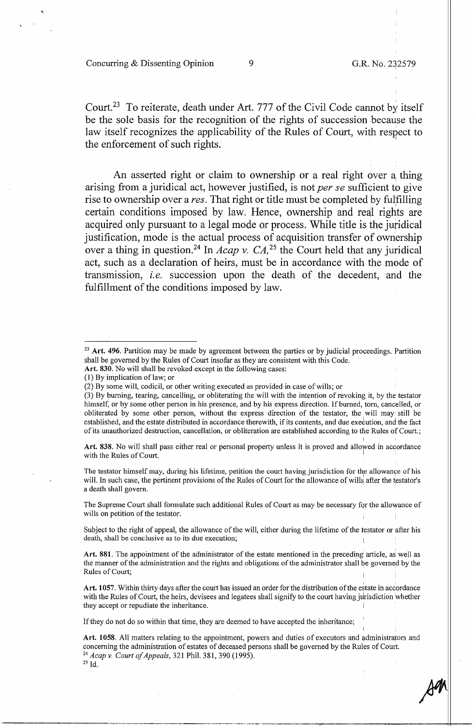Court.23 To reiterate, death under Art. 777 of the Civil Code cannot by itself be the sole basis for the recognition of the rights of succession because the law itself recognizes the applicability of the Rules of Court, with respect to the enforcement of such rights. '

An asserted right or claim to ownership or a real right over a thing arising from a juridical act, however justified, is not *per se* sufficient to give rise to ownership over a *res.* That right or title must be completed by fulfilling certain conditions imposed by law. Hence, ownership and real rights are acquired only pursuant to a legal mode or process. While title is the juridical justification, mode is the actual process of acquisition transfer of ownership over a thing in question.<sup>24</sup> In *Acap v. CA*,<sup>25</sup> the Court held that any juridical act, such as a declaration of heirs, must be in accordance with the mode of transmission, *i.e.* succession upon the death of the decedent, and the fulfillment of the conditions imposed by law.

- **Art. 830.** No will shall be revoked except in the following cases:
- (1) By implication oflaw; or

Art. 838. No will shall pass either real or personal property unless it is proved and allowed in accordance with the Rules of Court.

The testator himself may, during his lifetime, petition the court having jurisdiction for the allowance of his will. In such case, the pertinent provisions of the Rules of Court for the allowance of wills after the testator's a death shall govern.

The Supreme Court shall formulate such additional Rules of Court as may be necessary for the allowance of wills on petition of the testator.

Subject to the right of appeal, the allowance of the will, either during the lifetime of the testator or after his death, shall be conclusive as to its due execution;

Art. 881. The appointment of the administrator of the estate mentioned in the preceding article, as well as the manner of the administration and the rights and obligations of the administrator shall be governed by the Rules of Court;

Art. 1057. Within thirty days after the court has issued an order for the distribution of the estate in accordance with the Rules of Court, the heirs, devisees and legatees shall signify to the court having jurisdiction whether they accept or repudiate the inheritance.

If they do not do so within that time, they are deemed to have accepted the inheritance; '

I

<sup>&</sup>lt;sup>23</sup> Art. 496. Partition may be made by agreement between the parties or by judicial proceedings. Partition shall be governed by the Rules of Court insofar as they are consistent with this Code.

<sup>(2)</sup> By some will, codicil, or other writing executed as provided in case of wills; or

<sup>(3)</sup> By burning, tearing, cancelling, or obliterating the will with the intention of revoking it, by the testator himself, or by some other person in his presence, and by his express direction. If burned, torn, cancelled, or obliterated by some other person, without the express direction of the testator, the will may still be established, and the estate distributed in accordance therewith, if its contents, and due execution, and the fact of its unauthorized destruction, cancellation, or obliteration are established according to the Rules of Court.; I

Art. 1058. All matters relating to the appointment, powers and duties of executors and administrators and concerning the administration of estates of deceased persons shall be governed by the Rules of Court. 24 *Acap v. Court of Appeals,* 321 Phil. 381,390 (1995). 2s Id.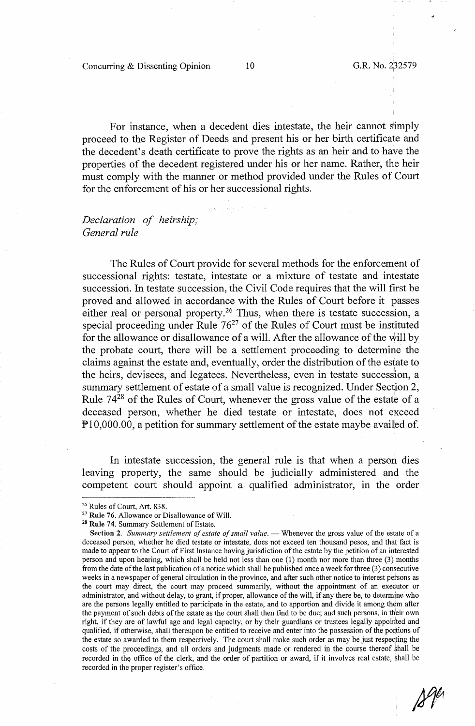Concurring & Dissenting Opinion 10

For instance, when a decedent dies intestate, the heir cannot simply proceed to the Register of Deeds and present his or her birth certificate and the decedent's death certificate to prove the rights as an heir and to haye the properties of the decedent registered under his or her name. Rather, the heir must comply with the manner or method provided under the Rules of Court for the enforcement of his or her successional rights.

# *Declaration of heirship; General rule*

The Rules of Court provide for several methods for the enforcement of successional rights: testate, intestate or a mixture of testate and intestate succession. In testate succession, the Civil Code requires that the will first be proved and allowed in accordance with the Rules of Court before it passes either real or personal property.<sup>26</sup> Thus, when there is testate succession, a special proceeding under Rule  $76<sup>27</sup>$  of the Rules of Court must be instituted for the allowance or disallowance of a will. After the allowance of the will by the probate court, there will be a settlement proceeding to determine the claims against the estate and, eventually, order the distribution of the estate to the heirs, devisees, and legatees. Nevertheless, even in testate succession, a summary settlement of estate of a small value is recognized. Under Section 2, Rule  $74^{28}$  of the Rules of Court, whenever the gross value of the estate of a deceased person, whether he died testate or intestate, does not exceed Pl0,000.00, a petition for summary settlement of the estate maybe availed of.

In intestate succession, the general rule is that when a person dies leaving property, the same should be judicially administered and the competent court should appoint a qualified administrator, in the order

<sup>26</sup> Rules of Court, Art. 838.

<sup>&</sup>lt;sup>27</sup> Rule 76. Allowance or Disallowance of Will.<br><sup>28</sup> Rule 74. Summary Settlement of Estate.

Section 2. *Summary settlement of estate of small value.* — Whenever the gross value of the estate of a deceased person, whether he died testate or intestate, does not exceed ten thousand pesos, and that fact is made to appear to the Court of First Instance having jurisdiction of the estate by the petition of an interested person and upon hearing, which shall be held not less than one (1) month nor more than three  $(3)$ <sup>1</sup>months from the date of the last publication of a notice which shall be published once a week for three (3) consecutive weeks in a newspaper of general circulation in the province, and after such other notice to interest persons as the court may direct, the court may proceed summarily, without the appointment of an exequtor or administrator, and without delay, to grant, if proper, allowance of the will, if any there be, to determine who are the persons legally entitled to participate in the estate, and to apportion and divide it among them after the payment of such debts of the estate as the court shall then find to be due; and such persons, in their own right, if they are of lawful age and legal capacity, or by their guardians or trustees legally appointed and qualified, if otherwise, shall thereupon be entitled to receive and enter into the possession of the portions of the estate so awarded to them respectively. The court shall make such order as may be just respecting the costs of the proceedings, and all orders and judgments made or rendered in the course thereof shall be recorded in the office of the clerk, and the order of partition or award, if it involves real estate, shall be recorded in the proper register's office.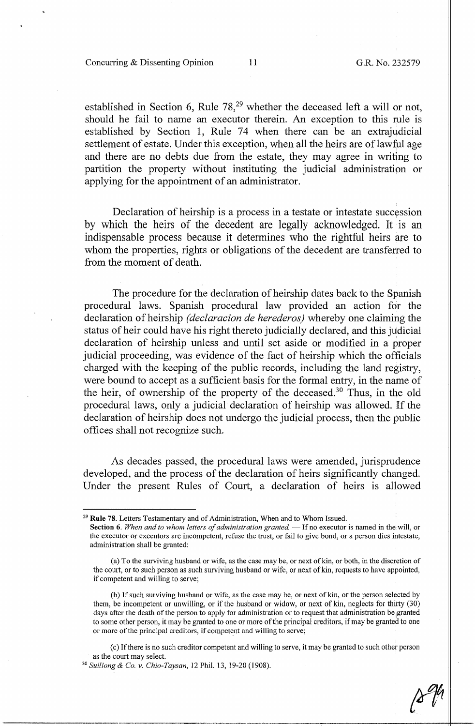#### Concurring & Dissenting Opinion 11 G.R. No. 232579

established in Section 6, Rule 78,<sup>29</sup> whether the deceased left a will or not, should he fail to name an executor therein. An exception to this rule is established by Section 1, Rule 74 when there can be an extrajudicial settlement of estate. Under this exception, when all the heirs are of lawful age and there are no debts due from the estate, they may agree in writing to partition the property without instituting the judicial administration or applying for the appointment of an administrator.

Declaration of heirship is a process in a testate or intestate succession by which the heirs of the decedent are legally acknowledged. It is an indispensable process because it determines who the rightful heirs are to whom the properties, rights or obligations of the decedent are transferred to from the moment of death.

The procedure for the declaration of heirship dates back to the Spanish procedural laws. Spanish procedural law provided an action for the declaration of heirship *(declaracion de herederos)* whereby one claiming the status of heir could have his right thereto judicially declared, and this judicial declaration of heirship unless and until set aside or modified in a proper judicial proceeding, was evidence of the fact of heirship which the officials charged with the keeping of the public records, including the land registry, were bound to accept as a sufficient basis for the formal entry, in the name of the heir, of ownership of the property of the deceased.<sup>30</sup> Thus, in the old procedural laws, only a judicial declaration of heirship was allowed. If the declaration of heirship does not undergo the judicial process, then the public offices shall not recognize such.

As decades passed, the procedural laws were amended, jurisprudence developed, and the process of the declaration of heirs significantly changed. Under the present Rules of Court, a declaration of heirs is allowed

<sup>29</sup>**Rule** 78. Letters Testamentary and of Administration, When and to Whom Issued.

Section 6. When and to whom letters of administration granted. - If no executor is named in the will, or the executor or executors are incompetent, refuse the trust, or fail to give bond, or a person dies intestate, administration shall be granted:

<sup>(</sup>a) To the surviving husband or wife, as the case may be, or next of kin, or both, in the discretion of the court, or to such person as such surviving husband or wife, or next of kin, requests to have appointed, if competent and willing to serve;

<sup>(</sup>b) If such surviving husband or wife, as the case may be, or next of kin, or the person selected by them, be incompetent or unwilling, or if the husband or widow, or next of kin, neglects for thirty (30) days after the death of the person to apply for administration or to request that administration be granted to some other person, it may be granted to one or more of the principal creditors, if may be granted to one or more of the principal creditors, if competent and willing to serve;

<sup>(</sup> c) If there is no such creditor competent and willing to serve, it may be granted to such other person as the court may select. 30 *Suiliong & Co. v. Chio-Taysan,* 12 Phil. 13, 19-20 (1908).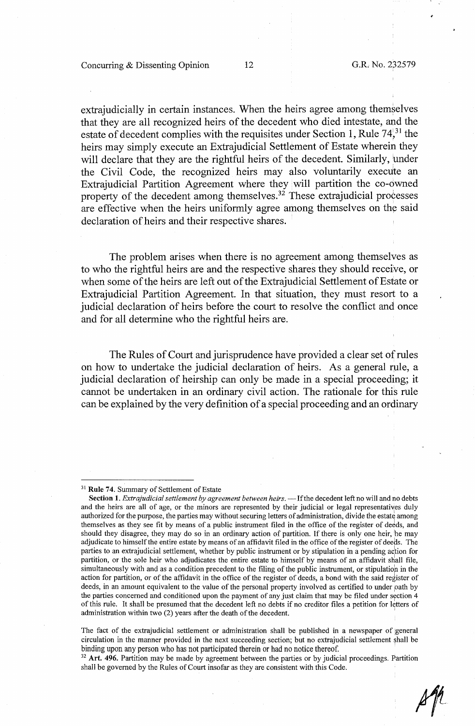Concurring & Dissenting Opinion 12 G.R. No. 232579

,-

extrajudicially in certain instances. When the heirs agree among themselves that they are all recognized heirs of the decedent who died intestate, and the estate of decedent complies with the requisites under Section 1, Rule  $74^{31}$ , the heirs may simply execute an Extrajudicial Settlement of Estate wherein they will declare that they are the rightful heirs of the decedent. Similarly, under the Civil Code, the recognized heirs may also voluntarily execute an Extrajudicial Partition Agreement where they will partition the co-owned property of the decedent among themselves.<sup>32</sup> These extrajudicial processes are effective when the heirs uniformly agree among themselves on the said declaration of heirs and their respective shares.

The problem arises when there is no agreement among themselves as to who the rightful heirs are and the respective shares they should receive, or when some of the heirs are left out of the Extrajudicial Settlement of Estate or Extrajudicial Partition Agreement. In that situation, they must resort to a judicial declaration of heirs before the court to resolve the conflict and once and for all determine who the rightful heirs are.

The Rules of Court and jurisprudence have provided a clear set of rules on how to undertake the judicial declaration of heirs. As a general rule, a judicial declaration of heirship can only be made in a special proceeding; it cannot be undertaken in an ordinary civil action. The rationale for this rule can be explained by the very definition of a special proceeding and an ordinary

shall be governed by the Rules of Court insofar as they are consistent with this Code.

 $2^r$ 

<sup>31</sup>**Rule 74.** Summary of Settlement of Estate

Section 1. *Extrajudicial settlement by agreement between heirs*. - If the decedent left no will and no debts and the heirs are all of age, or the minors are represented by their judicial or legal representatives duly authorized for the purpose, the parties may without securing letters of administration, divide the estate among themselves as they see fit by means of a public instrument filed in the office of the register of deeds, and should they disagree, they may do so in an ordinary action of partition. If there is only one heir, he may adjudicate to himself the entire estate by means of an affidavit filed in the office of the register of deeds. The parties to an extrajudicial settlement, whether by public instrument or by stipulation in a pending action for partition, or the sole heir who adjudicates the entire estate to himself by means of an affidavit shall file, simultaneously with and as a condition precedent to the filing of the public instrument, or stipulation in the action for partition, or of the affidavit in the office of the register of deeds, a bond with the said register of deeds, in an amount equivalent to the value of the personal property involved as certified to under path by the parties concerned and conditioned upon the payment of any just claim that may be filed under section 4 of this rule. It shall be presumed that the decedent left no debts if no creditor files a petition for letters of administration within two (2) years after the death of the decedent.

The fact of the extrajudicial settlement or administration shall be published in a newspaper of general circulation in the manner provided in the next succeeding section; but no extrajudicial settlement shall be binding upon any person who has not participated therein or had no notice thereof.<br><sup>32</sup> Art. 496. Partition may be made by agreement between the parties or by judicial proceedings. Partition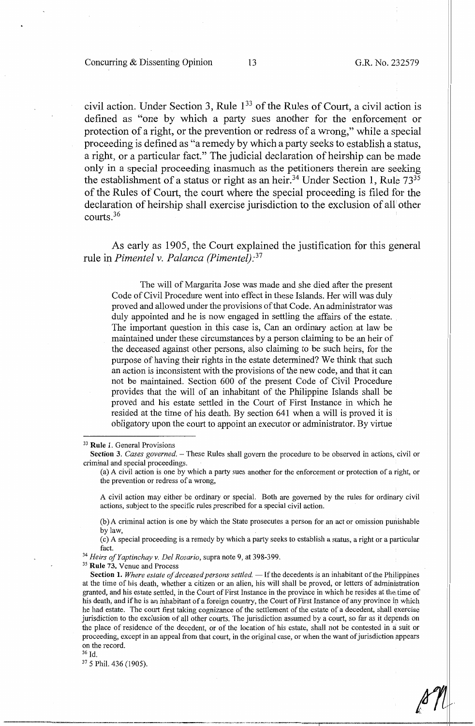*!V11* L(J *IC* 

civil action. Under Section 3, Rule 1<sup>33</sup> of the Rules of Court, a civil action is defined as "one by which a party sues another for the enforcement or protection of a right, or the prevention or redress of a wrong," while a special proceeding is defined as "a remedy by which a party seeks to establish a status, a right, or a particular fact." The judicial declaration of heirship can be made only in a special proceeding inasmuch as the petitioners therein are seeking the establishment of a status or right as an heir.<sup>34</sup> Under Section 1, Rule  $73^{35}$ of the Rules of Court, the court where the special proceeding is filed for the declaration of heirship shall exercise jurisdiction to the exclusion of all' other courts.36

As early as 1905, the Court explained the justification for this general rule in *Pimentel v. Palanca (Pimentel): <sup>37</sup>*

The will of Margarita Jose was made and she died after the present Code of Civil Procedure went into effect in these Islands. Her will was duly proved and allowed under the provisions of that Code. An administrator was duly appointed and he is now engaged in settling the affairs of the estate. The important question in this case is, Can an ordinary action at law be maintained under these circumstances by a person claiming to be an heir of the deceased against other persons, also claiming to be such heirs, for the purpose of having their rights in the estate determined? We think that such an action is inconsistent with the provisions of the new code, and that it can not be maintained. Section 600 of the present Code of Civil Procedure provides that the will of an inhabitant of the Philippine Islands shall be proved and his estate settled in the Court of First Instance in which he resided at the time of his death. By section 641 when a will is proved it is obligatory upon the court to appoint an executor or administrator. By virtue

( c) A special proceeding is a remedy by which a party seeks to establish a status, a right or a particular

fact. 34 *Heirs of Yaptinchay v. Del Rosario,* supra note 9, at 398-399. 35 **Rule 73.** Venue and Process

----=--- -·---~~-,,, .. ~.-·=--~--------------+I

37 5 Phil. 436 (1905).

<sup>33</sup>**Rule 1.** General Provisions

Section 3. *Cases governed.* – These Rules shall govern the procedure to be observed in actions, civil or criminal and special proceedings.

<sup>(</sup>a) A civil action is one by which a party sues another for the enforcement or protection of a right, or the prevention or redress of a wrong,

A civil action may either be ordinary or special. Both are governed by the rules for ordinary civil actions, subject to the specific rules prescribed for a special civil action.

<sup>(</sup>b) A criminal action is one by which the State prosecutes a person for an act or omission punishable by law,

Section 1. Where estate of deceased persons settled. - If the decedents is an inhabitant of the Philippines at the time of his death, whether a citizen or an alien, his will shall be proved, or letters of administration granted, and his estate settled, in the Court of First Instance in the province in which he resides at the1time of his death, and if he is an inhabitant of a foreign country, the Court of First Instance of any province in which he had estate. The court first taking cognizance of the settlement of the estate of a decedent, shall exercise jurisdiction to the exclusion of all other courts. The jurisdiction assumed by a court, so far as it depends on the place of residence of the decedent, or of the location of his estate, shall not be contested in a suit or proceeding, except in an appeal from that court, in the original case, or when the want of jurisdiction appears on the record.

<sup>36</sup> Id.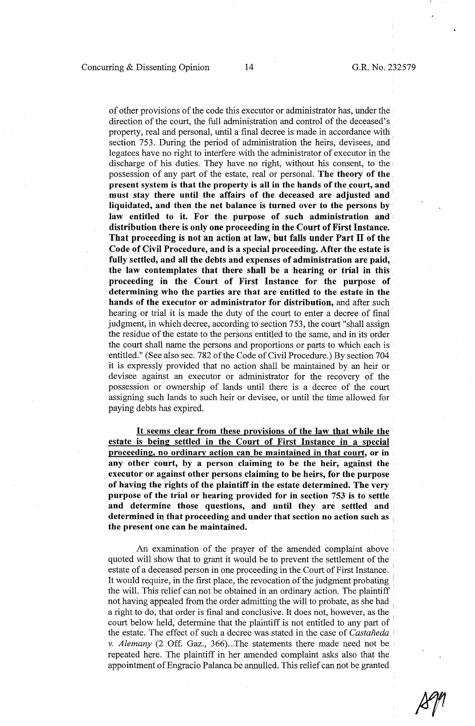of other provisions of the code this executor or administrator has, under the direction of the court, the full administration and control of the deceased's property, real and personal, until a final decree is made in accordance with. section 753. During the period of administration the heirs, devisees, and· legatees have no right to interfere with the administrator of executor in the discharge of his duties. They have no right, without his consent, to the possession of any part of the estate, real or personal. **The theory of the present system is that the property is all in the hands of the court, and must stay there until the affairs of the deceased are adjusted and liquidated, and then the net balance is turned over to the persons by law entitled to it. For the purpose of such administration and distribution there is only one proceeding in the Court of First Instance. That proceeding is not an action at law, but falls under Part** II **of the Code of Civil Procedure, and is a special proceeding. After the estate is fully settled, and all the debts and expenses of administration are paid, the law contemplates that there shall be a hearing or trial in this proceeding in the Court of First Instance for the purpose of determining who the parties are that are entitled to the estate in the hands of the executor or administrator for distribution,** and after such hearing or trial it is made the duty of the court to enter a decree of final judgment, in which decree, according to section 753, the court "shall assign the residue of the estate to the persons entitled to the same, and in its order the court shall name the persons and proportions or parts to which each is entitled." (See also sec. 782 of the Code of Civil Procedure.) By section 704 it is expressly provided that no action shall be maintained by an heir or devisee against an executor or administrator for the recovery of the possession or ownership of lands until there is a decree of the court assigning such lands to such heir or devisee, or until the time allowed for paying debts has expired.

It **seems clear from these provisions of the law that while the estate is being settled in the Court of First Instance in a special proceeding, no ordinary action can be maintained in that court, or in any other court, by a person claiming to be the heir, against the executor or against other persons claiming to be heirs, for the purpose of having the rights of the plaintiff in the estate determined. The very purpose of the trial or hearing provided for in section 753 is to settle and determine those questions, and until they are settled and**  determined in that proceeding and under that section no action such as **the present one can be maintained.** ·

An examination of the prayer of the amended complaint above quoted will show that to grant it would be to prevent the settlement of the estate of a deceased person in one proceeding in the Court of First Instance. It would require, in the first place, the revocation of the judgment probating ' the will. This relief can not be obtained in an ordinary action. The plaintiff not having appealed from the order admitting the will to probate, as she had , a right to do, that order is final and conclusive. It does not, however, as the court below held, determine that the plaintiff is not entitled to any part of ' the estate. The effect of such a decree was stated in the case of *Castaneda* ' *v. Alemany* (2 Off. Gaz., 366). The statements there made need not be repeated here. The plaintiff in her amended complaint asks also that the appointment of Engracio Palanca be annulled. This relief can not be granted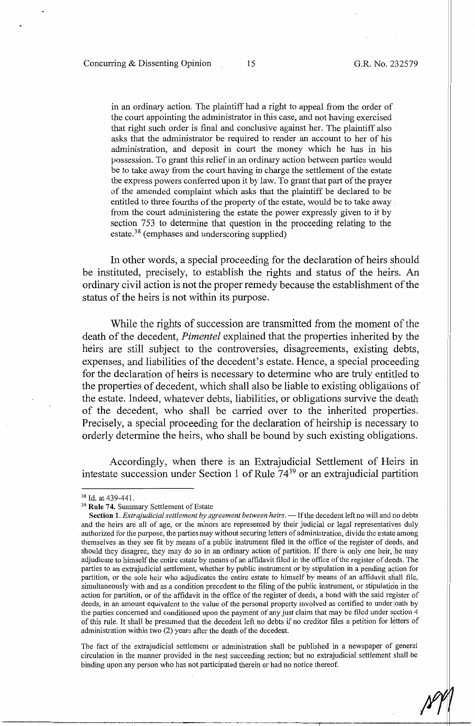in an ordinary action. The plaintiff had a right to appeal from the order of the court appointing the administrator in this case, and not having exercised that right such order is final and conclusive against her. The plaintiff also asks that the administrator be required to render an account to her of his administration, and deposit in court the money which he has in his possession. To grant this relief in an ordinary action between parties would be to take away from the court having in charge the settlement of the estate the express powers conferred upon it by law. To grant that part of the prayer of the amended complaint which asks that the plaintiff be declared to be entitled to three fourths of the property of the estate, would be to take away from the court administering the estate the power expressly given to it by section 753 to determine that question in the proceeding relating to the estate.<sup>38</sup> (emphases and underscoring supplied)

In other words, a special proceeding for the declaration of heirs should be instituted, precisely, to establish the rights and status of the heirs. An ordinary civil action is not the proper remedy because the establishment of the status of the heirs is not within its purpose.

While the rights of succession are transmitted from the moment of the death of the decedent, *Pimentel* explained that the properties inherited by the heirs are still subject to the controversies, disagreements, existing debts, expenses, and liabilities of the decedent's estate. Hence, a special proceeding for the declaration of heirs is necessary to determine who are truly entitled to the properties of decedent, which shall also be liable to existing obligations of the estate. Indeed, whatever debts, liabilities, or obligations survive the death of the decedent, who shall be carried over to the inherited properties. Precisely, a special proceeding for the declaration of heirship is necessary to orderly determine the heirs, who shall be bound by such existing obligations.

Accordingly, when there is an Extrajudicial Settlement of Heirs in intestate succession under Section 1 of Rule 7439 or an extrajudicial partition

The fact of the extrajudicial settlement or administration shall be published in a newspaper of general circulation in the manner provided in the nest succeeding section; but no extrajudicial settlement shall be binding upon any person who has not participated therein or had no notice thereof.

<sup>&</sup>lt;sup>38</sup> Id. at 439-441.<br><sup>39</sup> **Rule 74.** Summary Settlement of Estate

Section 1. *Extrajudicial settlement by agreement between heirs.* - If the decedent left no will and no debts and the heirs are all of age, or the minors are represented by their judicial or legal representatives duly authorized for the purpose, the parties may without securing letters of administration, divide the estate among themselves as they see fit by means of a public instrument filed in the office of the register of deeds, and should they disagree, they may do so in an ordinary action of partition. If there is only one heir, he may adjudicate to himself the entire estate by means of an affidavit filed in the office of the register of deeds. The parties to an extrajudicial settlement, whether by public instrument or by stipulation in a pending action for<br>partition or the sole heir who adjudicates the entire estate to himself by means of an affidavit shall file partition, or the sole heir who adjudicates the entire estate to himself by means of an affidavit shall file, simultaneously with and as a condition precedent to the filing of the public instrument, or stipulation in the action for partition, or of the affidavit in the office of the register of deeds, a bond with the said register of deeds, in an amount equivalent to the value of the personal property involved as certified to under oath by the parties concerned and conditioned upon the payment of any just claim that may be filed under section  $4$ of this rule. It shall be presumed that the decedent left no debts if no creditor files a petition for letters of administration within two (2) years after the death of the decedent.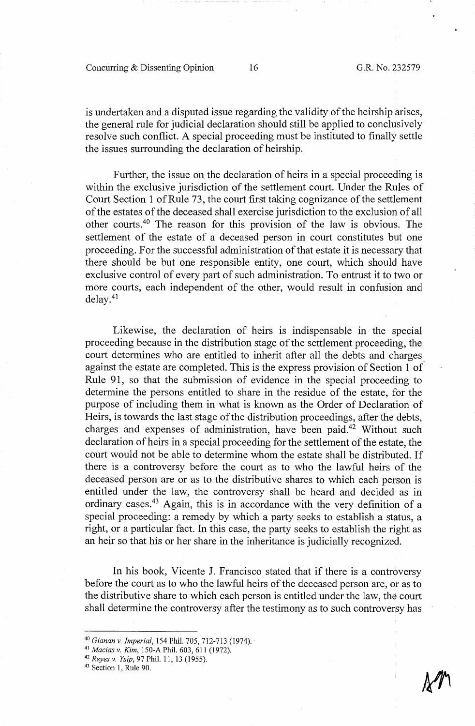Concurring & Dissenting Opinion 16 G.R. No. 232579

is undertaken and a disputed issue regarding the validity of the heirship arises, the general rule for judicial declaration should still be applied to conclusively resolve such conflict. A special proceeding must be instituted to finally settle the issues surrounding the declaration of heirship.

Further, the issue on the declaration of heirs in a special proceeding is within the exclusive jurisdiction of the settlement court. Under the Rules of Court Section 1 of Rule 73, the court first taking cognizance of the settlement of the estates of the deceased shall exercise jurisdiction to the exclusion of all other courts.40 The reason for this provision of the law is obvious. The settlement of the estate of a deceased person in court constitutes but one proceeding. For the successful administration of that estate it is necessary that there should be but one responsible entity, one court, which should have exclusive control of every part of such administration. To entrust it to two or more courts, each independent of the other, would result in confusion and delay. <sup>41</sup>

Likewise, the declaration of heirs is indispensable in the special proceeding because in the distribution stage of the settlement proceeding, the court determines who are entitled to inherit after all the debts and charges. against the estate are completed. This is the express provision of Section 1 of Rule 91, so that the submission of evidence in the special proceeding to determine the persons entitled to share in the residue of the estate, for the purpose of including them in what is known as the Order of Declaration of Heirs, is towards the last stage of the distribution proceedings, after the debts, charges and expenses of administration, have been paid.42 Without such declaration of heirs in a special proceeding for the settlement of the estate, the court would not be able to determine whom the estate shall be distributed. If there is a controversy before the court as to who the lawful heirs of the deceased person are or as to the distributive shares to which each person is entitled under the law, the controversy shall be heard and decided as in ordinary cases.43 Again, this is in accordance with the very definition of a special proceeding: a remedy by which a party seeks to establish a status, a right, or a particular fact. In this case, the party seeks to establish the right as an heir so that his or her share in the inheritance is judicially recognized.

In his book, Vicente J. Francisco stated that if there is a controversy before the court as to who the lawful heirs of the deceased person are, or as to the distributive share to which each person is entitled under the law, the court shall determine the controversy after the testimony as to such controversy has

<sup>40</sup>*Gianan v. Imperial,* 154 Phil. 705, 712-713 (1974). 41 *Macias v. Kim,* 150-A Phil. 603, 611 (1972). 42 *Reyes v. Ysip,* 97 Phil. 11, 13 (1955). 43 Section 1, Rule 90.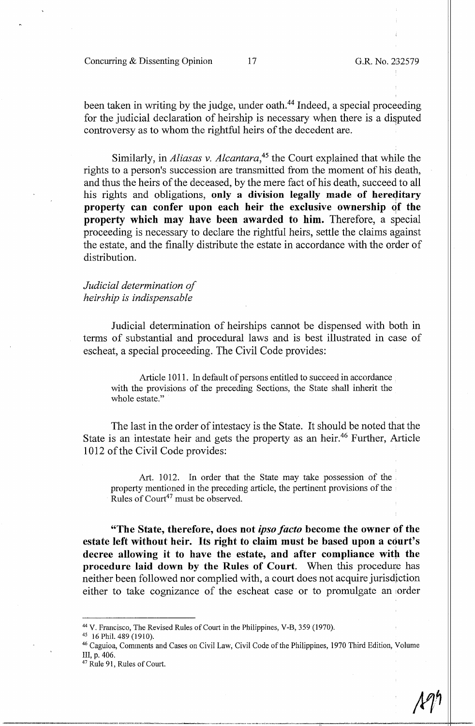Concurring & Dissenting Opinion 17 G.R. No. 232579

been taken in writing by the judge, under oath.<sup>44</sup> Indeed, a special proceeding for the judicial declaration of heirship is necessary when there is a disputed controversy as to whom the rightful heirs of the decedent are.

Similarly, in *Aliasas v. Alcantara,45* the Court explained that while the rights to a person's succession are transmitted from the moment of his death, and thus the heirs of the deceased, by the mere fact of his death, succeed to all his rights and obligations, only a division legally made of hereditary property can confer upon each heir the exclusive ownership of the **property which may have been awarded to him.** Therefore, a special proceeding is necessary to declare the rightful heirs, settle the claims against the estate, and the finally distribute the estate in accordance with the order of distribution.

*Judicial determination of heirship is indispensable* 

Judicial determination of heirships cannot be dispensed with both in terms of substantial and procedural laws and is best illustrated in case of escheat, a special proceeding. The Civil Code provides:

Article 1011. In default of persons entitled to succeed in accordance with the provisions of the preceding Sections, the State shall inherit the whole estate."

The last in the order of intestacy is the State. It should be noted that the State is an intestate heir and gets the property as an heir.<sup>46</sup> Further, Article 1012 of the Civil Code provides:

Art. 1012. In order that the State may take possession of the property mentioned in the preceding article, the pertinent provisions of the Rules of  $Count^{47}$  must be observed.

**"The State, therefore, does not** *ipso facto* **become the owner of the estate left without heir. Its right to claim must be based upon a court's**  decree allowing it to have the estate, and after compliance with the **procedure laid down by the Rules of Court.** When this procedure has neither been followed nor complied with, a court does not acquire jurisdiction either to take cognizance of the escheat case or to promulgate an order

<sup>&</sup>lt;sup>44</sup> V. Francisco, The Revised Rules of Court in the Philippines, V-B, 359 (1970).<br><sup>45</sup> 16 Phil. 489 (1910).<br><sup>46</sup> Caguioa, Comments and Cases on Civil Law, Civil Code of the Philippines, 1970 Third Edition, Volume III, p. 406.

<sup>&</sup>lt;sup>47</sup> Rule 91, Rules of Court.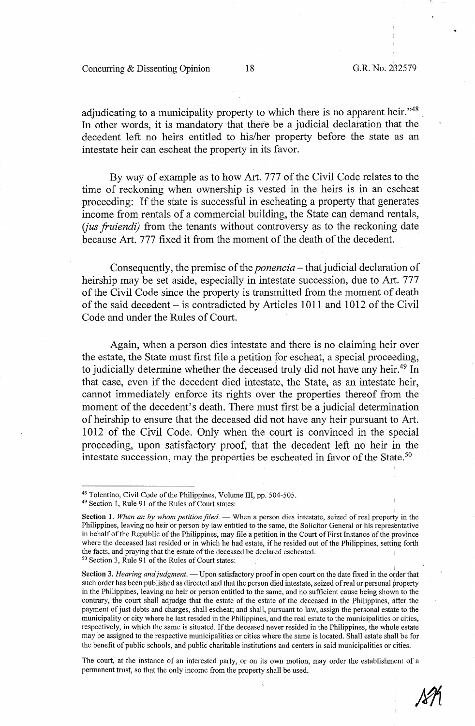•

adjudicating to a municipality property to which there is no apparent heir."<sup>48</sup> In other words, it is mandatory that there be a judicial declaration that the decedent left no heirs entitled to his/her property before the state as an intestate heir can escheat the property in its favor.

By way of example as to how Art. 777 of the Civil Code relates to the time of reckoning when ownership is vested in the heirs is in an escheat proceeding: If the state is successful in escheating a property that generates income from rentals of a commercial building, the State can demand rentals, *(jus fruiendi)* from the tenants without controversy as to the reckoning date because Art. 777 fixed it from the moment of the death of the decedent.

Consequently, the premise of the *ponencia* – that judicial declaration of heirship may be set aside, especially in intestate succession, due to Art. 777 of the Civil Code since the property is transmitted from the moment of death of the said decedent- is contradicted by Articles 1011 and 1012 of the Civil Code and under the Rules of Court.

Again, when a person dies intestate and there is no claiming heir over the estate, the State must first file a petition for escheat, a special proceeding, to judicially determine whether the deceased truly did not have any heir.<sup>49</sup> In that case, even if the decedent died intestate, the State, as an intestate heir, cannot immediately enforce its rights over the properties thereof from the moment of the decedent's death. There must first be a judicial determination of heirship to ensure that the deceased did not have any heir pursuant to Art. 1012 of the Civil Code. Only when the court is convinced in the special proceeding, upon satisfactory proof, that the decedent left no heir in the intestate succession, may the properties be escheated in favor of the State.<sup>50</sup>

Section 3. *Hearing and judgment*. — Upon satisfactory proof in open court on the date fixed in the order that such order has been published as directed and that the person died intestate, seized of real or personal property in the Philippines, leaving no heir or person entitled to the same, and no sufficient cause being shown to the contrary, the court shall adjudge that the estate of the estate of the deceased in the Philippines, after the payment of just debts and charges, shall escheat; and shall, pursuant to law, assign the personal estate to the municipality or city where he last resided in the Philippines, and the real estate to the municipalities or cities, respectively, in which the same is situated. If the deceased never resided in the Philippines, the whole estate may be assigned to the respective municipalities or cities where the same is located. Shall estate shall be for the benefit of public schools, and public charitable institutions and centers in said municipalities or cities.

The court, at the instance of an interested party, or on its own motion, may order the establishment of a permanent trust, so that the only income from the property shall be used.

<sup>&</sup>lt;sup>48</sup> Tolentino, Civil Code of the Philippines, Volume III, pp. 504-505.<br><sup>49</sup> Section 1, Rule 91 of the Rules of Court states:

Section 1. When an by whom petition filed. - When a person dies intestate, seized of real property in the Philippines, leaving no heir or person by law entitled to the same, the Solicitor General or his representative in behalf of the Republic of the Philippines, may file a petition in the Court of First Instance of the province where the deceased last resided or in which he had estate, if he resided out of the Philippines, setting forth the facts, and praying that the estate of the deceased be declared escheated. <sup>50</sup> Section 3, Rule 91 of the Rules of Court states: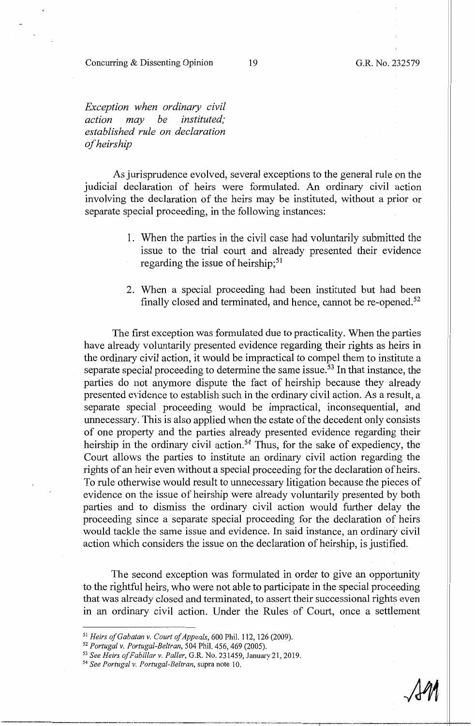#### Concurring & Dissenting Opinion

19 G.R. No. 232579

*Exception when ordinary civil action may be instituted; established rule on declaration of heirs hip* 

As jurisprudence evolved, several exceptions to the general rule on the judicial declaration of heirs were formulated. An ordinary civil action involving the declaration of the heirs may be instituted, without a prior or separate special proceeding, in the following instances:

- 1. When the parties in the civil case had voluntarily submitted the issue to the trial court and already presented their evidence regarding the issue of heirship; $51$
- 2. When a special proceeding had been instituted but had been finally closed and terminated, and hence, cannot be re-opened.<sup>52</sup>

The first exception was formulated due to practicality. When the parties have already voluntarily presented evidence regarding their rights as heirs in the ordinary civil action, it would be impractical to compel them to institute a separate special proceeding to determine the same issue.<sup>53</sup> In that instance, the parties do not anymore dispute the fact of heirship because they already presented evidence to establish such in the ordinary civil action. As a result, a separate special proceeding would be impractical, inconsequential, and unnecessary. This is also applied when the estate of the decedent only consists of one property and the parties already presented evidence regarding their heirship in the ordinary civil action.<sup>54</sup> Thus, for the sake of expediency, the Court allows the parties to institute an ordinary civil action regarding the rights of an heir even without a special proceeding for the declaration of heirs. To rule otherwise would result to unnecessary litigation because the pieces of evidence on the issue of heirship were already voluntarily presented by both parties and to dismiss the ordinary civil action would further delay the proceeding since a separate special proceeding for the declaration of heirs would tackle the same issue and evidence. In said instance, an ordinary civil action which considers the issue on the declaration of heirship, is justified.

The second exception was formulated in order to give an opportunity to the rightful heirs, who were not able to participate in the special proceeding that was already closed and terminated, to assert their successional rights even in an ordinary civil action. Under the Rules of Court, once a settlement

<sup>&</sup>lt;sup>51</sup> Heirs of Gabatan v. Court of Appeals, 600 Phil. 112, 126 (2009).<br><sup>52</sup> Portugal v. Portugal-Beltran, 504 Phil. 456, 469 (2005).<br><sup>53</sup> See Heirs of Fabillar v. Paller, G.R. No. 231459, January 21, 2019.<br><sup>54</sup> See Portuga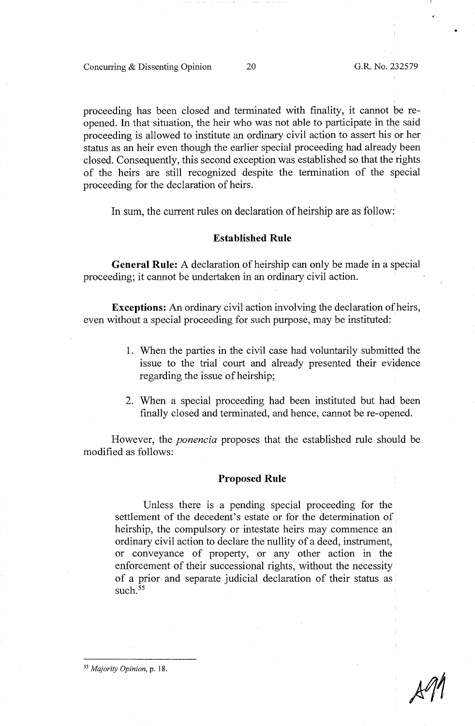proceeding has been closed and terminated with finality, it cannot be reopened. In that situation, the heir who was not able to participate in the said proceeding is allowed to institute an ordinary civil action to assert his or her status as an heir even though the earlier special proceeding had already been closed. Consequently, this second exception was established so that the rights of the heirs are still recognized despite the termination of the special proceeding for the declaration of heirs.

In sum, the current rules on declaration of heirship are as follow:

#### **Established Rule**

**General Rule:** A declaration of heirship can only be made in a special proceeding; it cannot be undertaken in an ordinary civil action.

**Exceptions:** An ordinary civil action involving the declaration of heirs, even without a special proceeding for such purpose, may be instituted:

- 1. When the parties in the civil case had voluntarily submitted the issue to the trial court and already presented their evidence regarding the issue of heirship;
- 2. When a special proceeding had been instituted but had been finally closed and terminated, and hence, cannot be re-opened.

However, the *ponencia* proposes that the established rule should be modified as follows:

#### **Proposed Rule**

Unless there is a pending special proceeding for the settlement of the decedent's estate or for the determination of heirship, the compulsory or intestate heirs may commence an ordinary civil action to declare the nullity of a deed, instrument, or conveyance of property, or any other action in the enforcement of their successional rights, without the necessity of a prior and separate judicial declaration of their status as such.<sup>55</sup>

55 *Majority Opinion,* p. 18.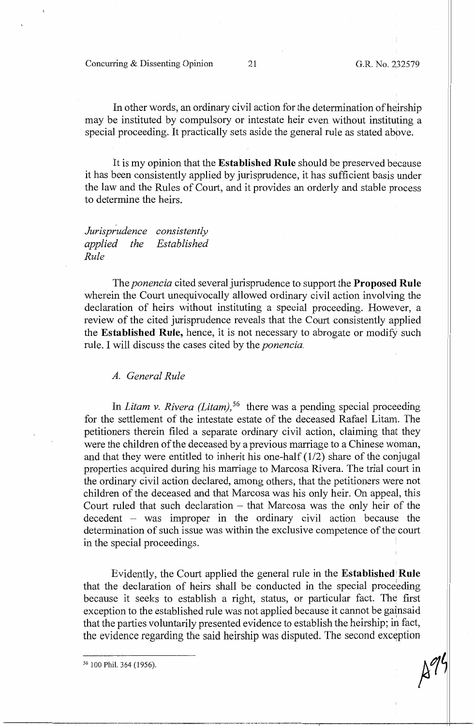In other words, an ordinary civil action for the determination of heirship may be instituted by compulsory or intestate heir even without instituting a special proceeding. It practically sets aside the general rule as stated above.

It is my opinion that the **Established Rule** should be preserved because it has been consistently applied by jurisprudence, it has sufficient basis under the law and the Rules of Court, and it provides an orderly and stable process to determine the heirs.

*Jurisp;udence consistently applied the Rule Established* 

The *ponencia* cited several jurisprudence to support the **Proposed Rule**  wherein the Court unequivocally allowed ordinary civil action involving the declaration of heirs without instituting a special proceeding. However, a review of the cited jurisprudence reveals that the Court consistently applied the **Established Rule,** hence, it is not necessary to abrogate or modify such rule. I will discuss the cases cited by the *ponencia.* 

#### *A. General Rule*

In *Litam v. Rivera (Litam)*,<sup>56</sup> there was a pending special proceeding for the settlement of the intestate estate of the deceased Rafael Litam. The petitioners therein filed a separate ordinary civil action, claiming that they were the children of the deceased by a previous marriage to a Chinese woman, and that they were entitled to inherit his one-half (1/2) share of the conjugal properties acquired during his marriage to Marcosa Rivera. The trial court in the ordinary civil action declared, among others, that the petitioners were not children of the deceased and that Marcosa was his only heir. On appeal, this Court ruled that such declaration  $-$  that Marcosa was the only heir of the  $\alpha$  decedent – was improper in the ordinary civil action because the determination of such issue was within the exclusive competence of the court in the special proceedings.

Evidently, the Court applied the general rule in the **Established'Rule**  that the declaration of heirs shall be conducted in the special proceeding because it seeks to establish a right, status, or particular fact. The first exception to the established rule was not applied because it cannot be gainsaid that the parties voluntarily presented evidence to establish the heirship; in fact, the evidence regarding the said heirship was disputed. The second exception

 $\mathcal{L}$ <sup>56</sup> 100 Phil. 364 (1956).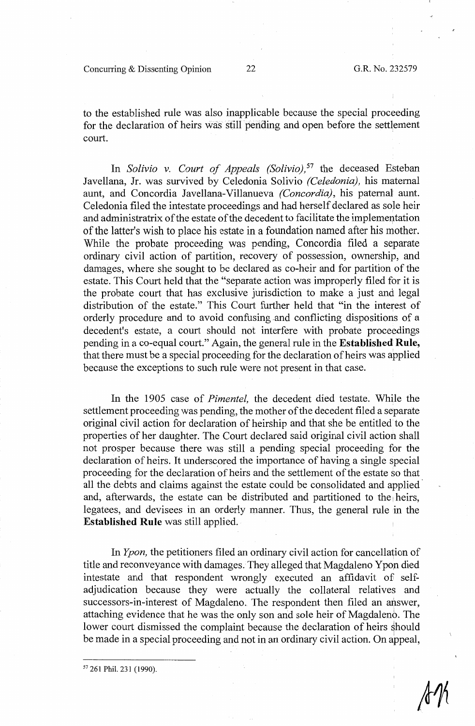Concurring & Dissenting Opinion 22 G.R. No. 232579

to the established rule was also inapplicable because the special proceeding for the declaration of heirs was still pending and open before the settlement court.

In *Solivio v. Court of Appeals (Solivio)*,<sup>57</sup> the deceased Esteban Javellana, Jr. was survived by Celedonia Solivio *(Celedonia),* his maternal aunt, and Concordia Javellana-Villanueva *(Concordia),* his paternal aunt. Celedonia filed the intestate proceedings and had herself declared as sole heir and administratrix of the estate of the decedent to facilitate the implementation of the latter's wish to place his estate in a foundation named after his mother. While the probate proceeding was pending, Concordia filed a separate ordinary civil action of partition, recovery of possession, ownership, and damages, where she sought to be declared as co-heir and for partition of the estate. This Court held that the "separate action was improperly filed for it is the probate court that has exclusive jurisdiction to make a just and legal distribution of the estate." This Court further held that "in the interest of orderly procedure and to avoid confusing .and conflicting dispositions of a decedent's estate, a court should not interfere with probate proceedings pending in a co-equal court." Again, the general rule in the **Established Rule,**  that there must be a special proceeding for the declaration of heirs was applied because the exceptions to such rule were not present in that case.

In the 1905 case of *Pimentel,* the decedent died testate. While the settlement proceeding was pending, the mother of the decedent filed a separate original civil action for declaration of heirship and that she be entitled to the properties of her daughter. The Court declared said original civil action shall not prosper because there was still a pending special proceeding for the declaration of heirs. It underscored the importance of having a single special proceeding for the declaration of heirs and the settlement of the estate so that all the debts and claims against the estate could be consolidated and applied and, afterwards, the estate can be distributed and partitioned to the heirs, legatees, and devisees in an orderly manner. Thus, the general rule in the **Established Rule** was still applied.

In *Ypon,* the petitioners filed an ordinary civil action for cancellation of title and reconveyance with damages. They alleged that Magdaleno Ypon died intestate and that respondent wrongly executed an affidavit of selfadjudication because they were actually the collateral relatives and successors-in-interest of Magdaleno. The respondent then filed an answer, attaching evidence that he was the only son and sole heir of Magdaleno. The lower court dismissed the complaint because the declaration of heirs should be made in a special proceeding and not in an ordinary civil action. On appeal,

<sup>57</sup> 261 Phil. 231 (1990).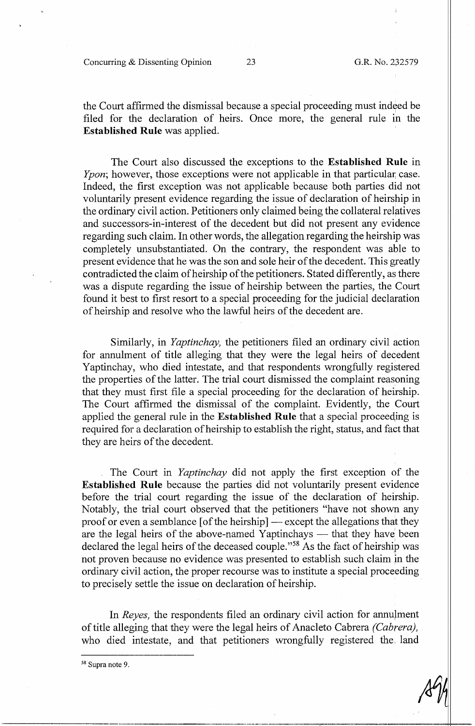Concurring & Dissenting Opinion 23 G.R. No. 232579

the Court affirmed the dismissal because a special proceeding must indeed be filed for the declaration of heirs. Once more, the general rule in the **Established Rule** was applied.

The Court also discussed the exceptions to the **Established Rule** in *Ypon*; however, those exceptions were not applicable in that particular case. Indeed, the first exception was not applicable because both parties did not voluntarily present evidence regarding the issue of declaration of heirship in the ordinary civil action. Petitioners only claimed being the collateral relatives and successors-in-interest of the decedent but did not present any evidence regarding such claim. In other words, the allegation regarding the heirship was completely unsubstantiated. On the contrary, the respondent was able to present evidence that he was the son and sole heir of the decedent. This greatly contradicted the claim of heirship of the petitioners. Stated differently, as there was a dispute regarding the issue of heirship between the parties, the Court found it best to first resort to a special proceeding for the judicial declaration of heirship and resolve who the lawful heirs of the decedent are.

Similarly, in *Yaptinchay,* the petitioners filed an ordinary civil action for annulment of title alleging that they were the legal heirs of decedent Yaptinchay, who died intestate, and that respondents wrongfully registered the properties of the latter. The trial court dismissed the complaint reasoning that they must first file a special proceeding for the declaration of heirship. The Court affirmed the dismissal of the complaint. Evidently, the Court applied the general rule in the **Established Rule** that a special proceeqing is required for a declaration ofheirship to establish the right, status, and fact that they are heirs of the decedent.

The Court in *Yaptinchay* did not apply the first exception of the **Established Rule** because the parties did not voluntarily present evidence before the trial court regarding the issue of the declaration of heirship. Notably, the trial court observed that the petitioners "have not shown any proof or even a semblance  $[$  of the heirship $]$  — except the allegations that they are the legal heirs of the above-named Yaptinchays — that they have been declared the legal heirs of the deceased couple."<sup>58</sup> As the fact of heirship was not proven because no evidence was presented to establish such claim in the ordinary civil action, the proper recourse was to institute a special proceeding to precisely settle the issue on declaration of heirship.

In *Reyes*, the respondents filed an ordinary civil action for annument of title alleging that they were the legal heirs of Anacleto Cabrera *(Cabrera),*  who died intestate, and that petitioners wrongfully registered the, land

58 Supra note 9.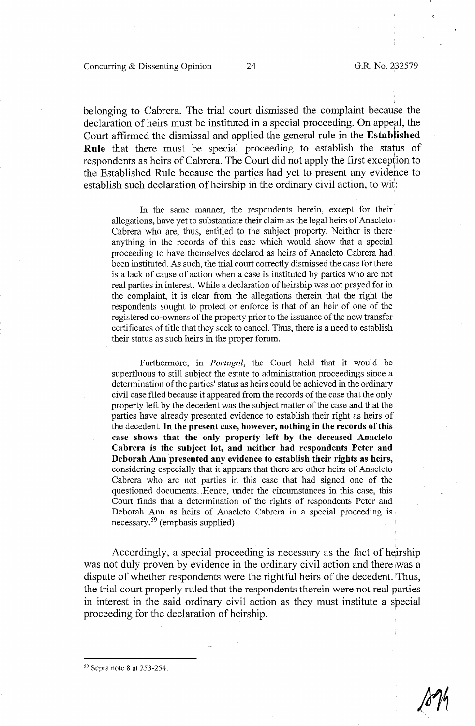belonging to Cabrera. The trial court dismissed the complaint because the declaration of heirs must be instituted in a special proceeding. On appeal, the Court affinned the dismissal and applied the general rule in the **Established**  Rule that there must be special proceeding to establish the status of respondents as heirs of Cabrera. The Court did not apply the first exception to the Established Rule because the parties had yet to present any evidence to establish such declaration of heirship in the ordinary civil action, to wit:

In the same manner, the respondents herein, except for their allegations, have yet to substantiate their claim as the legal heirs of Anacleto Cabrera who are, thus, entitled to the subject property. Neither is there anything in the records of this case which would show that a special proceeding to have themselves declared as heirs of Anacleto Cabrera had been instituted. As such, the trial court correctly dismissed the case for there is a lack of cause of action when a case is instituted by parties who are not real parties in interest. While a declaration of heirship was not prayed for in the complaint, it is clear from the allegations therein that the right the respondents sought to protect or enforce is that of an heir of one of the registered co-owners of the property prior to the issuance of the new transfer certificates of title that they seek to cancel. Thus, there is a need to establish their status as such heirs in the proper forum.

Furthermore, in *Portugal*, the Court held that it would be superfluous to still subject the estate to administration proceedings since a determination of the parties' status as heirs could be achieved in the ordinary civil case filed because it appeared from the records of the case that the only property left by the decedent was the subject matter of the case and that the parties have already presented evidence to establish their right as heirs of the decedent. In **the present case, however, nothing in the records of this case shows that the only property left by the deceased Anacleto Cabrera is the subject lot, and neither had respondents Peter and Deborah Ann presented any evidence to establish their rights as heirs,**  considering especially that it appears that there are other heirs of Anacleto • Cabrera who are not parties in this case that had signed one of the questioned documents. Hence, under the circumstances in this case, this Court finds that a determination of the rights of respondents Peter and Deborah Ann as heirs of Anacleto Cabrera in a special proceeding is  $n$ ecessary.<sup>59</sup> (emphasis supplied)

Accordingly, a special proceeding is necessary as the fact of heirship was not duly proven by evidence in the ordinary civil action and there :was a dispute of whether respondents were the rightful heirs of the decedent. Thus, the trial court properly ruled that the respondents therein were not real parties in interest in the said ordinary civil action as they must institute a special proceeding for the declaration of heirship.

59 Supra note 8 at 253-254.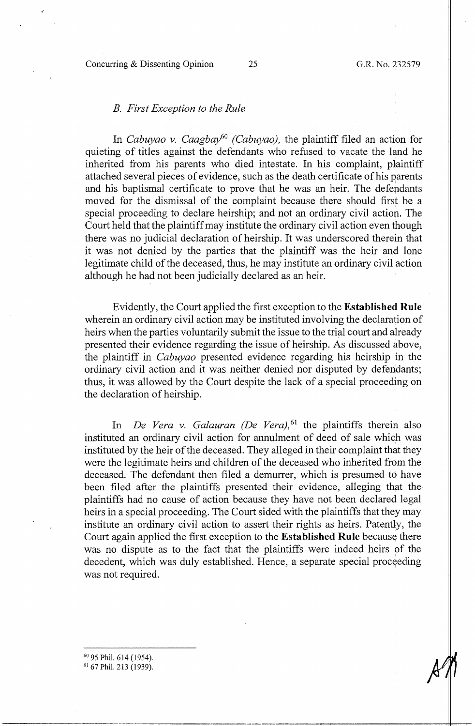#### Concurring & Dissenting Opinion 25 G.R. No. 232579

#### B. *First Exception to the Rule*

In *Cabuyao v. Caagbay60 (Cabuyao),* the plaintiff filed an action for quieting of titles against the defendants who refused to vacate the land he inherited from his parents who died intestate. In his complaint, plaintiff attached several pieces of evidence, such as the death certificate of his parents and his baptismal certificate to prove that he was an heir. The defendants moved for the dismissal of the complaint because there should first be a special proceeding to declare heirship; and not an ordinary civil action. The Court held that the plaintiff may institute the ordinary civil action even though there was no judicial declaration of heirship. It was underscored therein that it was not denied by the parties that the plaintiff was the heir and lone legitimate child of the deceased, thus, he may institute an ordinary civil action although he had not been judicially declared as an heir.

Evidently, the Court applied the first exception to the **Established Rule**  wherein an ordinary civil action may be instituted involving the declaration of heirs when the parties voluntarily submit the issue to the trial court and already presented their evidence regarding the issue of heirship. As discussed above, the plaintiff in *Cabuyao* presented evidence regarding his heirship in the ordinary civil action and it was neither denied nor disputed by defendants; thus, it was allowed by the Court despite the lack of a special proceeding on the declaration of heirship.

In *De Vera v. Galauran (De Vera)*, <sup>61</sup> the plaintiffs therein also instituted an ordinary civil action for annulment of deed of sale which was instituted by the heir of the deceased. They alleged in their complaint that they were the legitimate heirs and children of the deceased who inherited from the deceased. The defendant then filed a demurrer, which is presumed to have been filed after the plaintiffs presented their evidence, alleging that the plaintiffs had no cause of action because they have not been declared legal heirs in a special proceeding. The Court sided with the plaintiffs that they may institute an ordinary civil action to assert their rights as heirs. Patently, the Court again applied the first exception to the **Established Rule** because there was no dispute as to the fact that the plaintiffs were indeed heirs of the decedent, which was duly established. Hence, a separate special proceeding was not required.

<sup>60</sup> 95 Phil. 614 (1954).<br><sup>61</sup> 67 Phil. 213 (1939).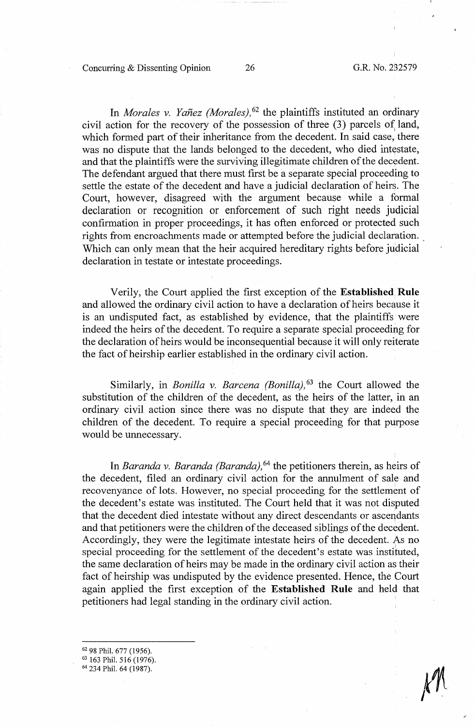Concurring & Dissenting Opinion 26 G.R. No. 232579

In *Morales v. Yañez (Morales)*, <sup>62</sup> the plaintiffs instituted an ordinary civil action for the recovery of the possession of three  $(3)$  parcels of land, which formed part of their inheritance from the decedent. In said case, there was no dispute that the lands belonged to the decedent, who died intestate, and that the plaintiffs were the surviving illegitimate children of the decedent. The defendant argued that there must first be a separate special proceeding to settle the estate of the decedent and have a judicial declaration of heirs. The Court, however, disagreed with the argument because while a formal declaration or recognition or enforcement of such right needs judicial confirmation in proper proceedings, it has often enforced or protected such rights from encroachments made or attempted before the judicial declaration. Which can only mean that the heir acquired hereditary rights before judicial declaration in testate or intestate proceedings.

Verily, the Court applied the first exception of the **Established. Rule**  and allowed the ordinary civil action to have a declaration of heirs because it is an undisputed fact, as established by evidence, that the plaintiffs were indeed the heirs of the decedent. To require a separate special proceeding for the declaration of heirs would be inconsequential because it will only reiterate the fact of heirship earlier established in the ordinary civil action.

Similarly, in *Bonilla v. Barcena (Bonilla)*,<sup>63</sup> the Court allowed the substitution of the children of the decedent, as the heirs of the latter, in an ordinary civil action since there was no dispute that they are indeed the children of the decedent. To require a special proceeding for that purpose would be unnecessary.

In *Baranda v. Baranda (Baranda),* 64 the petitioners therein, as heirs of the decedent, filed an ordinary civil action for the annulment of sale and recovenyance of lots. However, no special proceeding for the settlement of the decedent's estate was instituted. The Court held that it was not disputed that the decedent died intestate without any direct descendants or ascendants and that petitioners were the children of the deceased siblings of the decedent. Accordingly, they were the legitimate intestate heirs of the decedent. As no special proceeding for the settlement of the decedent's estate was instituted, the same declaration of heirs may be made in the ordinary civil action as their fact of heirship was undisputed by the evidence presented. Hence, the Court again applied the first exception of the **Established Rule** and held that petitioners had legal standing in the ordinary civil action.

 $62$  98 Phil. 677 (1956).<br> $63$  163 Phil. 516 (1976).

<sup>64</sup> 234 Phil. 64 (1987).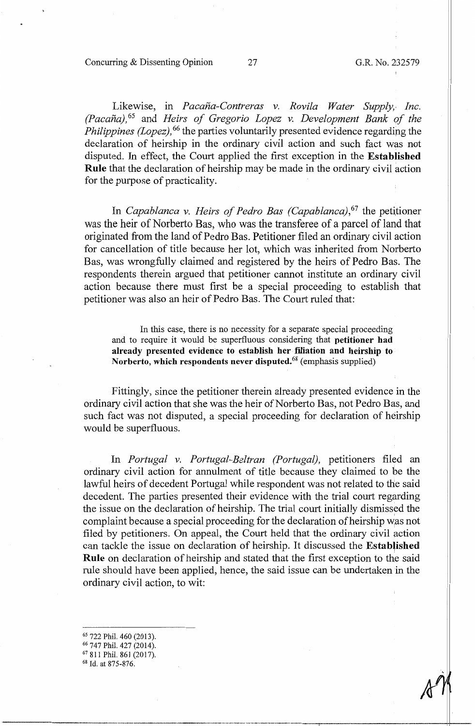Concurring & Dissenting Opinion 27 G.R. No. 232579

Likewise, in *Pacaña-Contreras v. Rovila Water Supply, Inc. (Pacana),* 65 and *Heirs of Gregorio Lopez v. Development Bank of the Philippines (Lopez)*, <sup>66</sup> the parties voluntarily presented evidence regarding the declaration of heirship in the ordinary civil action and such fact was not disputed. In effect, the Court applied the first exception in the **Established Rule** that the declaration of heirship may be made in the ordinary civil action for the purpose of practicality.

In *Capablanca v. Heirs of Pedro Bas (Capablanca)*,<sup>67</sup> the petitioner was the heir of Norberto Bas, who was the transferee of a parcel of land that originated from the land of Pedro Bas. Petitioner filed an ordinary civil action for cancellation of title because her lot, which was inherited from Norberto Bas, was wrongfully claimed and registered by the heirs of Pedro Bas. The respondents therein argued that petitioner cannot institute an ordinary civil action because there must first be a special proceeding to establish that petitioner was also an heir of Pedro Bas. The Court ruled that:

In this case, there is no necessity for a separate special proceeding and to require it would be superfluous considering that **petitioner had already presented evidence to establish her filiation and heirship to**  Norberto, which respondents never disputed.<sup>68</sup> (emphasis supplied)

Fittingly, since the petitioner therein already presented evidence in the ordinary civil action that she was the heir of Norberto Bas, not Pedro Bas, and such fact was not disputed, a special proceeding for declaration of heirship would be superfluous.

In *Portugal v. Portugal-Beltran (Portugal)*, petitioners filed an ordinary civil action for annulment of title because they claimed to be the lawful heirs of decedent Portugal while respondent was not related to the said decedent. The parties presented their evidence with the trial court regarding the issue on the declaration of heirship. The trial court initially dismissed the complaint because a special proceeding for the declaration of heirship was not filed by petitioners. On appeal, the Court held that the ordinary civil action can tackle the issue on declaration of heirship. It discussed the **Established Rule** on declaration of heirship and stated that the first exception to the said rule should have been applied, hence, the said issue can be undertaken in the ordinary civil action, to wit:

- 
- <sup>65</sup> 722 Phil. 460 (2013).<br><sup>66</sup> 747 Phil. 427 (2014).<br><sup>67</sup> 811 Phil. 861 (2017).<br><sup>68</sup> Id. at 875-876.
- 
-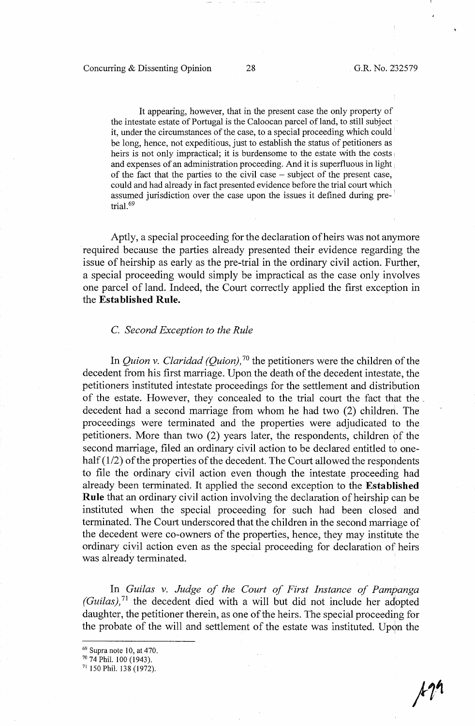It appearing, however, that in the present case the only property of the intestate estate of Portugal is the Caloocan parcel of land, to still subject it, under the circumstances of the case, to a special proceeding which could be long, hence, not expeditious, just to establish the status of petitioners as heirs is not only impractical; it is burdensome to the estate with the costs and expenses of an administration proceeding. And it is superfluous in light of the fact that the parties to the civil case  $-$  subject of the present case, could and had already in fact presented evidence before the trial court which assumed jurisdiction over the case upon the issues it defined during pre- ' trial. <sup>69</sup>

Aptly, a special proceeding for the declaration of heirs was not anymore required because the parties already presented their evidence regarding the issue of heirship as early as the pre-trial in the ordinary civil action. Further, a special proceeding would simply be impractical as the case only involves one parcel of land. Indeed, the Court correctly applied the first exception in the **Established Rule.** 

#### C. *Second Exception to the Rule*

In *Quion v. Claridad (Quion)*, <sup>70</sup> the petitioners were the children of the decedent from his first marriage. Upon the death of the decedent intestate, the petitioners instituted intestate proceedings for the settlement and distribution of the estate. However, they concealed to the trial court the fact that the .. decedent had a second marriage from whom he had two (2) children. The proceedings were terminated and the properties were adjudicated to the petitioners. More than two (2) years later, the respondents, children of the second marriage, filed an ordinary civil action to be declared entitled to onehalf  $(1/2)$  of the properties of the decedent. The Court allowed the respondents to file the ordinary civil action even though the intestate proceeding had already been terminated. It applied the second exception to the **Established Rule** that an ordinary civil action involving the declaration of heirship can be instituted when the special proceeding for such had been closed and terminated. The Court underscored that the children in the second marriage of the decedent were co-owners of the properties, hence, they may institute the ordinary civil action even as the special proceeding for declaration of heirs was already terminated.

In *Gui/as v. Judge of the Court of First Instance of Pampanga (Guilas)*,<sup>71</sup> the decedent died with a will but did not include her adopted daughter, the petitioner therein, as one of the heirs. The special proceeding for the probate of the will and settlement of the estate was instituted. Upon the

<sup>&</sup>lt;sup>69</sup> Supra note 10, at 470.<br><sup>70</sup> 74 Phil. 100 (1943).<br><sup>71</sup> 150 Phil. 138 (1972).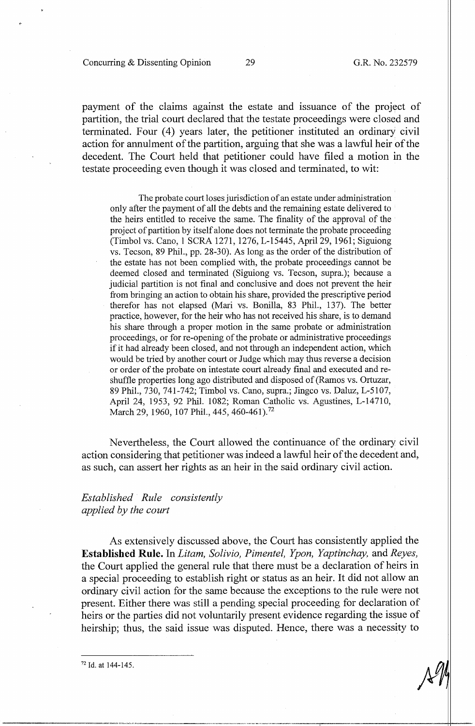Concurring & Dissenting Opinion 29 G.R. No. 232579

payment of the claims against the estate and issuance of the project of partition, the trial court declared that the testate proceedings were closed and terminated. Four (4) years later, the petitioner instituted an ordinary civil action for annulment of the partition, arguing that she was a lawful heir of the decedent. The Court held that petitioner could have filed a motion in the testate proceeding even though it was closed and terminated, to wit:

The probate court loses jurisdiction of an estate under administration only after the payment of all the debts and the remaining estate delivered to the heirs entitled to receive the same. The finality of the approval of the project of partition by itself alone does not terminate the probate proceeding (Timbol vs. Cano, 1 SCRA 1271, 1276, L-15445, April 29, 1961; Siguiong vs. Tecson, 89 Phil., pp. 28-30). As long as the order of the distribution of the estate has not been complied with, the probate proceedings cannot be deemed closed and terminated (Siguiong vs. Tecson, supra.); because a judicial partition is not final and conclusive and does not prevent the heir from bringing an action to obtain his share, provided the prescriptive period therefor has not elapsed (Mari vs. Bonilla, 83 Phil., 137). The better practice, however, for the heir who has not received his share, is to demand his share through a proper motion in the same probate or administration proceedings, or for re-opening of the probate or administrative proceedings if it had already been closed, and not through an independent action, which would be tried by another court or Judge which may thus reverse a decision or order of the probate on intestate court already final and executed and reshuffle properties long ago distributed and disposed of (Ramos vs. Ortuzar, 89 Phil., 730, 741-742; Timbol vs. Cano, supra.; Jingco vs. Daluz, L-5107, April 24, 1953, 92 Phil. 1082; Roman Catholic vs. Agustines, L-14710, March 29, 1960, 107 Phil., 445, 460-461).<sup>72</sup>

Nevertheless, the Court allowed the continuance of the ordinary civil action considering that petitioner was indeed a lawful heir of the decedent and, as such, can assert her rights as an heir in the said ordinary civil action.

# *Established Rule consistently applied by the court*

As extensively discussed above, the Court has consistently applied the **Established Rule.** In *Litam, Solivio, Pimentel, Ypon, Yaptinchay.* and *Reyes,*  the Court applied the general rule that there must be a declaration of heirs in a special proceeding to establish right or status as an heir. It did not allow an ordinary civil action for the same because the exceptions to the rule were not present. Either there was still a pending special proceeding for declaration of heirs or the parties did not voluntarily present evidence regarding the issue of heirship; thus, the said issue was disputed. Hence, there was a necessity to

72 Id. at 144-145.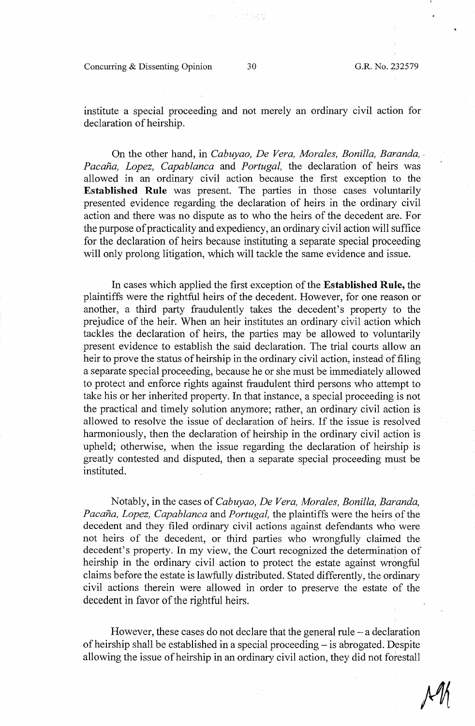Concurring & Dissenting Opinion 30 G.R. No. 232579

institute a special proceeding and not merely an ordinary civil action for declaration of heirship.

On the other hand, in *Cabuyao, De Vera, Morales, Bonilla, Baranda, Pacana, Lopez, Capablanca* and *Portugal,* the declaration of heirs was allowed in an ordinary civil action because the first exception to the **Established Rule** was present. The parties in those cases voluntarily presented evidence regarding the declaration of heirs in the ordinary civil action and there was no dispute as to who the heirs of the decedent are. For the purpose of practicality and expediency, an ordinary civil action will suffice for the declaration of heirs because instituting a separate special proceeding will only prolong litigation, which will tackle the same evidence and issue.

In cases which applied the first exception of the **Established Rule,** the plaintiffs were the rightful heirs of the decedent. However, for one reason or another, a third party fraudulently takes the decedent's property to the prejudice of the heir. When an heir institutes an ordinary civil action which tackles the declaration of heirs, the parties may be allowed to voluntarily present evidence to establish the said declaration. The trial courts allow an heir to prove the status of heirship in the ordinary civil action, instead of filing a separate special proceeding, because he or she must be immediately allowed to protect and enforce rights against fraudulent third persons who attempt to take his or her inherited property. In that instance, a special proceeding.is not the practical and timely solution anymore; rather, an ordinary civil action is allowed to resolve the issue of declaration of heirs. If the issue is resolved harmoniously, then the declaration of heirship in the ordinary civil action is upheld; otherwise, when the issue regarding the declaration of heirship is greatly contested and disputed, then a separate special proceeding must be instituted.

Notably, in the cases of *Cabuyao, De Vera, Morales, Bonilla, Baranda, Pacana, Lopez, Capablanca* and *Portugal,* the plaintiffs were the heirs of the decedent and they filed ordinary civil actions against defendants who were not heirs of the decedent, or third parties who wrongfully claimed the decedent's property. In my view, the Court recognized the determination of heirship in the ordinary civil action to protect the estate against wrongful claims before the estate is lawfully distributed. Stated differently, the orclinary civil actions therein were allowed in order to preserve the estate of the decedent in favor of the rightful heirs.

However, these cases do not declare that the general rule  $-$  a declaration of heirship shall be established in a special proceeding – is abrogated. Despite allowing the issue of heirship in an ordinary civil action, they did not forestall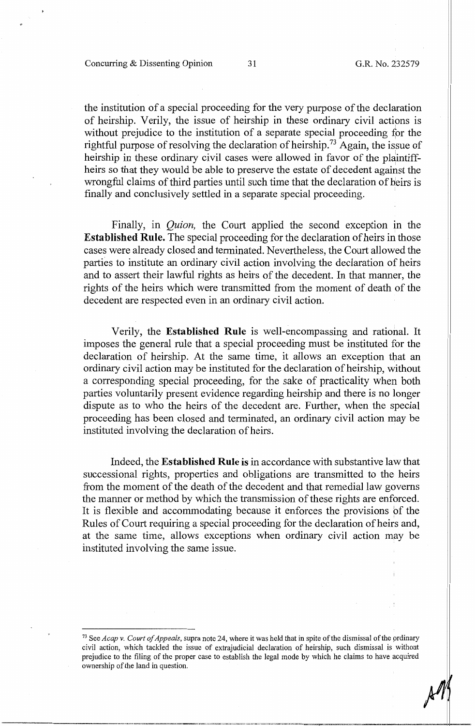the institution of a special proceeding for the very purpose of the declaration of heirship. Verily, the issue of heirship in these ordinary civil actions is without prejudice to the institution of a separate special proceeding for the rightful purpose of resolving the declaration of heirship.<sup>73</sup> Again, the issue of heirship in these ordinary civil cases were allowed in favor of the plaintiffheirs so that they would be able to preserve the estate of decedent against the wrongful claims of third parties until such time that the declaration of heirs is finally and conclusively settled in a separate special proceeding.

Finally, in *Quion,* the Court applied the second exception in the **Established Rule.** The special proceeding for the declaration of heirs in those cases were already closed and terminated. Nevertheless, the Court allowed the parties to institute an ordinary civil action involving the declaration of heirs and to assert their lawful rights as heirs of the decedent. In that manner, the rights of the heirs which were transmitted from the moment of death of the decedent are respected even in an ordinary civil action.

Verily, the **Established Rule** is well-encompassing and rational. It imposes the general rule that a special proceeding must be instituted for the declaration of heirship. At the same time, it allows an exception that an ordinary civil action may be instituted for the declaration of heirship, without a corresponding special proceeding, for the sake of practicality when both parties voluntarily present evidence regarding heirship and there is no longer dispute as to who the heirs of the decedent are. Further, when the special proceeding has been closed and terminated, an ordinary civil action may be instituted involving the declaration of heirs.

Indeed, the **Established Rule is** in accordance with substantive law that successional rights, properties and obligations are transmitted to the heirs from the moment of the death of the decedent and that remedial law governs the manner or method by which the transmission of these rights are enforced. It is flexible and accommodating because it enforces the provisions bf the Rules of Court requiring a special proceeding for the declaration of heirs and, at the same time, allows exceptions when ordinary civil action may be instituted involving the same issue.

<sup>73</sup> See *Acap v. Court of Appeals,* supra note 24, where it was held that in spite of the dismissal of the prdinary civil action, which tackled the issue of extrajudicial declaration of heirship, such dismissal is without prejudice to the filing of the proper case to establish the legal mode by which he claims to have acquired ownership of the land in question.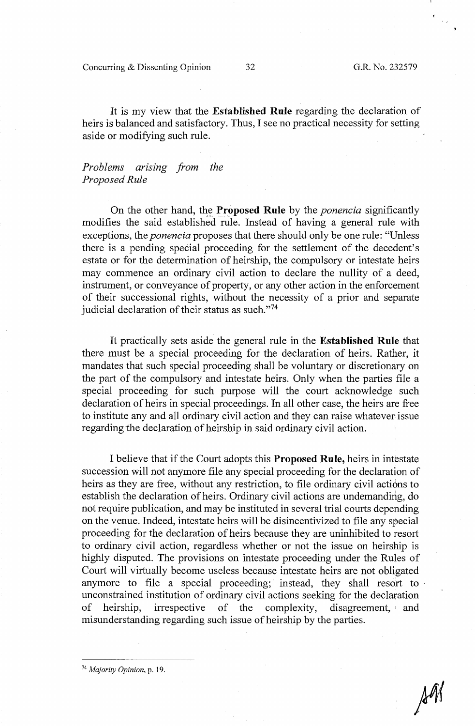Concurring & Dissenting Opinion 32 G.R. No. 232579

It is my view that the **Established Rule** regarding the declaration of heirs is balanced and satisfactory. Thus, I see no practical necessity for setting aside or modifying such rule.

## *Problems arising from the Proposed Rule*

On the other hand, the **Proposed Rule** by the *ponencia* significantly modifies the said established rule. Instead of having a general rule with exceptions, the *ponencia* proposes that there should only be one rule: "Unless there is a pending special proceeding for the settlement of the decedent's estate or for the determination of heirship, the compulsory or intestate heirs may commence an ordinary civil action to declare the nullity of a deed, instrument, or conveyance of property, or any other action in the enforcement of their successional rights, without the necessity of a prior and separate judicial declaration of their status as such."74

It practically sets aside the general rule in the **Established Rule** that there must be a special proceeding for the declaration of heirs. Rather, it mandates that such special proceeding shall be voluntary or discretionary on the part of the compulsory and intestate heirs. Only when the parties file a special proceeding for such purpose will the court acknowledge such declaration of heirs in special proceedings. In all other case, the heirs are free to institute any and all ordinary civil action and they can raise whatever issue regarding the declaration of heirship in said ordinary civil action.

I believe that if the Court adopts this **Proposed Rule,** heirs in intestate succession will not anymore file any special proceeding for the declaration of heirs as they are free, without any restriction, to file ordinary civil actions to establish the declaration of heirs. Ordinary civil actions are undemanding, do not require publication, and may be instituted in several trial courts depending on the venue. Indeed, intestate heirs will be disincentivized to file any special proceeding for the declaration of heirs because they are uninhibited to resort to ordinary civil action, regardless whether or not the issue on heirship is highly disputed. The provisions on intestate proceeding under the Rules of Court will virtually become useless because intestate heirs are not obligated anymore to file a special proceeding; instead, they shall resort to unconstrained institution of ordinary civil actions seeking for the declaration of heirship, irrespective of the complexity, disagreement, and misunderstanding regarding such issue of heirship by the parties.

<sup>74</sup>*Majority Opinion,* p. 19.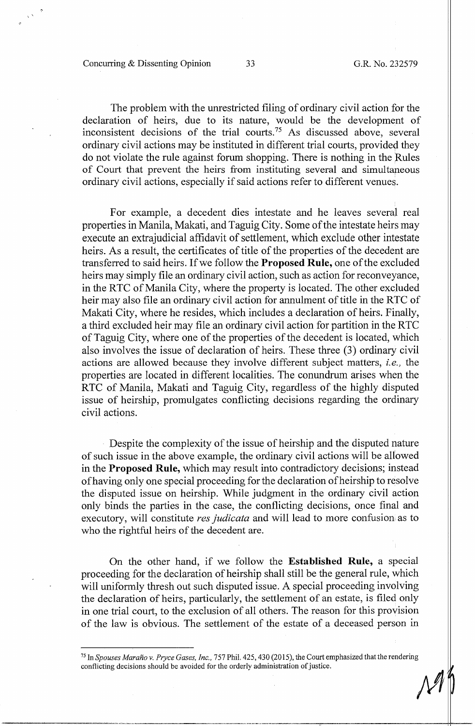Concurring & Dissenting Opinion 33 G.R. No. 232579

The problem with the unrestricted filing of ordinary civil action for the declaration of heirs, due to its nature, would be the development of inconsistent decisions of the trial courts.<sup>75</sup> As discussed above, several ordinary civil actions may be instituted in different trial courts, provided they do not violate the rule against forum shopping. There is nothing in the Rules of Court that prevent the heirs from instituting several and simultaneous ordinary civil actions, especially if said actions refer to different venues.

For example, a decedent dies intestate and he leaves several real properties in Manila, Makati, and Taguig City. Some of the intestate heirs may execute an extrajudicial affidavit of settlement, which exclude other intestate heirs. As a result, the certificates of title of the properties of the decedent are transferred to said heirs. Ifwe follow the **Proposed Rule,** one of the excluded heirs may simply file an ordinary civil action, such as action for reconveyance, in the RTC of Manila City, where the property is located. The other excluded heir may also file an ordinary civil action for annulment of title in the RTC of Makati City, where he resides, which includes a declaration of heirs. Finally, a third excluded heir may file an ordinary civil action for partition in the RTC of Taguig City, where one of the properties of the decedent is located, which also involves the issue of declaration of heirs. These three (3) ordinary civil actions are allowed because they involve different subject matters, *i.e.,* the properties are located in different localities. The conundrum arises when the RTC of Manila, Makati and Taguig City, regardless of the highly disputed issue of heirship, promulgates conflicting decisions regarding the ordinary civil actions.

Despite the complexity of the issue of heirship and the disputed nature of such issue in the above example, the ordinary civil actions will be aHowed in the **Proposed Rule,** which may result into contradictory decisions; instead of having only one special proceeding for the declaration ofheirship to resolve the disputed issue on heirship. While judgment in the ordinary civil action only binds the parties in the case, the conflicting decisions, once final and executory, will constitute *res judicata* and will lead to more confusion as to who the rightful heirs of the decedent are.

On the other hand, if we follow the **Established Rule,** a special proceeding for the declaration of heirship shall still be the general rule, which will uniformly thresh out such disputed issue. A special proceeding involving the declaration of heirs, particularly, the settlement of an estate, is filed only in one trial court, to the exclusion of all others. The reason for this provision of the law is obvious. The settlement of the estate of a deceased person in

<sup>75</sup> In *Spouses Marano v. Pryce Gases, Inc.,* 757 Phil. 425,430(2015), the Court emphasized that the rendering conflicting decisions should be avoided for the orderly administration of justice.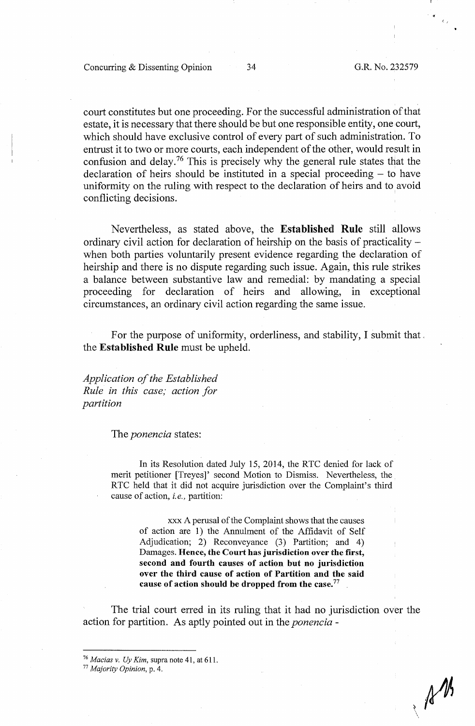Concurring & Dissenting Opinion 34 G.R. No. 232579

 $\frac{1}{\sqrt{2}}$ 

 $\mathbb{A}^{\prime\prime}$ 

court constitutes but one proceeding. For the successful administration of that estate, it is necessary that there should be but one responsible entity, one court, which should have exclusive control of every part of such administration. To entrust it to two or more courts, each independent of the other, would result in confusion and delay.<sup>76</sup> This is precisely why the general rule states that the declaration of heirs should be instituted in a special proceeding  $-$  to have uniformity on the ruling with respect to the declaration of heirs and to avoid conflicting decisions.

Nevertheless, as stated above, the **Established Rule** still allows ordinary civil action for declaration of heirship on the basis of practicality when both parties voluntarily present evidence regarding the declaration of heirship and there is no dispute regarding such issue. Again, this rule strikes a balance between substantive law and remedial: by mandating a special proceeding for declaration of heirs and allowing, in exceptional circumstances, an ordinary civil action regarding the same issue.

For the purpose of uniformity, orderliness, and stability, I submit that. the **Established Rule** must be upheld.

*Application of the Established Rule in this case; action for partition* 

#### The *ponencia* states:

In its Resolution dated July 15, 2014, the RTC denied for lack of merit petitioner [Treyes]' second Motion to Dismiss. Nevertheless, the R TC held that it did not acquire jurisdiction over the Complaint's third cause of action, *i.e.,* partition:

> xxx A perusal of the Complaint shows that the causes of action are 1) the Annulment of the Affidavit of Self Adjudication; 2) Reconveyance (3) Partition; and 4) Damages. **Hence, the Court has jurisdiction over the first, second and fourth causes of action but no jurisdiction over the third cause of action of Partition and the said cause of action should be dropped from the case.** <sup>77</sup>

The trial court erred in its ruling that it had no jurisdiction over the action for partition. As aptly pointed out in the *ponencia* -

<sup>&</sup>lt;sup>76</sup> *Macias v. Uy Kim*, supra note 41, at 611.<br><sup>77</sup> *Majority Opinion*, p. 4.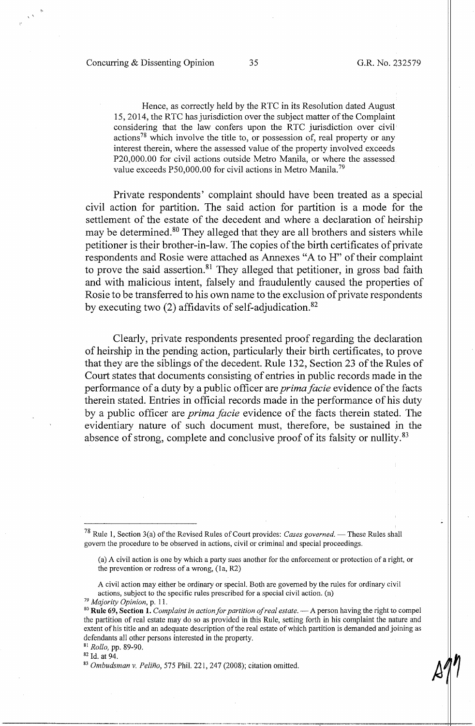$\mathcal{S}_{\mathcal{A}}$ 

Hence, as correctly held by the RTC in its Resolution dated August 15, 2014, the RTC has jurisdiction over the subject matter of the Complaint considering that the law confers upon the RTC jurisdiction over civil actions<sup>78</sup> which involve the title to, or possession of, real property or any interest therein, where the assessed value of the property involved exceeds P20,000.00 for civil actions outside Metro Manila, or where the assessed value exceeds P50,000.00 for civil actions in Metro Manila.<sup>79</sup>

Private respondents' complaint should have been treated as a special civil action for partition. The said action for partition is a mode for the settlement of the estate of the decedent and where a declaration of heirship may be determined.<sup>80</sup> They alleged that they are all brothers and sisters while petitioner is their brother-in-law. The copies of the birth certificates of private respondents and Rosie were attached as Annexes "A to H" of their complaint to prove the said assertion.<sup>81</sup> They alleged that petitioner, in gross bad faith and with malicious intent, falsely and fraudulently caused the properties of Rosie to be transferred to his own name to the exclusion of private respondents by executing two  $(2)$  affidavits of self-adjudication.<sup>82</sup>

Clearly, private respondents presented proof regarding the declaration of heirship in the pending action, particularly their birth certificates, to prove that they are the siblings of the decedent. Rule 132, Section 23 of the Rules of Court states that docwnents consisting of entries in public records made in the performance of a duty by a public officer are *primafacie* evidence of the facts therein stated. Entries in official records made in the performance of his duty by a public officer are *prima facie* evidence of the facts therein stated. The evidentiary nature of such document must, therefore, be sustained in the absence of strong, complete and conclusive proof of its falsity or nullity.<sup>83</sup>

----------------------~---~··----'~"----------.--------------1-1

<sup>&</sup>lt;sup>78</sup> Rule 1, Section 3(a) of the Revised Rules of Court provides: *Cases governed*. — These Rules shall govern the procedure to be observed in actions, civil or criminal and special proceedings.

<sup>(</sup>a) A civil action is one by which a party sues another for the enforcement or protection of a right, or the prevention or redress of a wrong, (la, R2)

A civil action may either be ordinary or special. Both are governed by the rules for ordinary civil actions, subject to the specific rules prescribed for a special civil action. (n)  $^{79}$  Majority Opinion, p. 11.

<sup>&</sup>lt;sup>80</sup> Rule 69, Section 1. *Complaint in action for partition of real estate*.  $-$  A person having the right to compel the partition of real estate may do so as provided in this Rule, setting forth in his complaint the nature and extent of his title and an adequate description of the real estate of which partition is demanded and joining as defendants all other persons interested in the property. 81 *Rollo,* pp. 89-90.

<sup>&</sup>lt;sup>82</sup> Id. at 94.<br><sup>83</sup> *Ombudsman v. Peliño*, 575 Phil. 221, 247 (2008); citation omitted.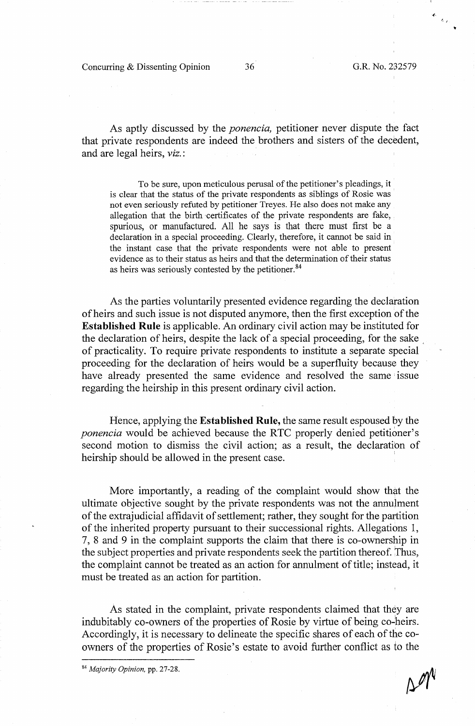Concurring & Dissenting Opinion 36 G.R. No. 232579

*(* ,

As aptly discussed by the *ponencia,* petitioner never dispute the fact that private respondents are indeed the brothers and sisters of the decedent, and are legal heirs, viz.:

To be sure, upon meticulous perusal of the petitioner's pleadings, it is clear that the status of the private respondents as siblings of Rosie was not even seriously refuted by petitioner Treyes. He also does not make any allegation that the birth certificates of the private respondents are fake, spurious, or manufactured. All he says is that there must first be a declaration in a special proceeding. Clearly, therefore, it cannot be said in the instant case that the private respondents were not able to present evidence as to their status as heirs and that the determination of their status as heirs was seriously contested by the petitioner.<sup>84</sup>

As the parties voluntarily presented evidence regarding the declaration of heirs and such issue is not disputed anymore, then the first exception of the **Established Rule** is applicable. An ordinary civil action may be instituted for the declaration of heirs, despite the lack of a special proceeding, for the sake of practicality. To require private respondents to institute a separate special proceeding for the declaration of heirs would be a superfluity because they have already presented the same evidence and resolved the same issue regarding the heirship in this present ordinary civil action.

Hence, applying the **Established Rule,** the same result espoused by the *ponencia* would be achieved because the RTC properly denied petitioner's second motion to dismiss the civil action; as a result, the declaration of heirship should be allowed in the present case.

More importantly, a reading of the complaint would show that the ultimate objective sought by the private respondents was not the annulment of the extra judicial affidavit of settlement; rather, they sought for the partition of the inherited property pursuant to their successional rights. Allegations 1, 7, 8 and 9 in the complaint supports the claim that there is co-ownership in the subject properties and private respondents seek the partition thereof. Thus, the complaint cannot be treated as an action for annulment of title; instead, it must be treated as an action for partition.

As stated in the complaint, private respondents claimed that they are indubitably co-owners of the properties of Rosie by virtue of being co-heirs. Accordingly, it is necessary to delineate the specific shares of each of the coowners of the properties of Rosie's estate to avoid further conflict as to the

<sup>84</sup>*Majority Opinion,* pp. 27-28.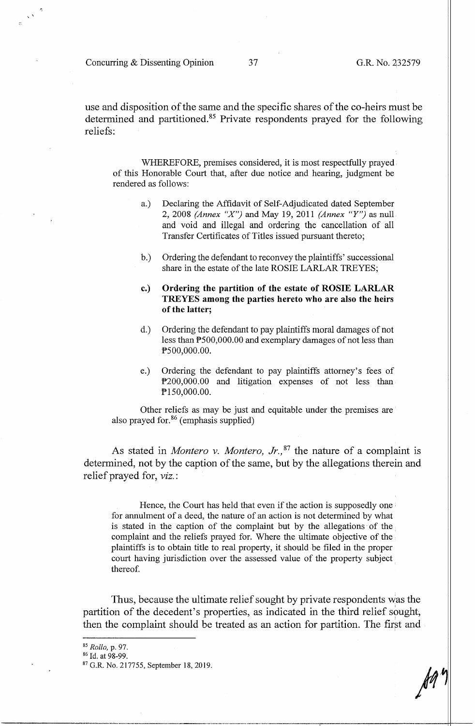Concurring & Dissenting Opinion 37 G.R. No. 232579

 $\mathcal{S}_{\mathcal{S}}$ 

use and disposition of the same and the specific shares of the co-heirs must be determined and partitioned.<sup>85</sup> Private respondents prayed for the following reliefs:

WHEREFORE, premises considered, it is most respectfully prayed of this Honorable Court that, after due notice and hearing, judgment be rendered as follows:

- a.) Declaring the Affidavit of Self-Adjudicated dated September 2, 2008 *(Annex "X")* and May 19, 2011 *(Annex "Y")* as null and void and illegal and ordering the cancellation of all Transfer Certificates of Titles issued pursuant thereto;
- b.) Ordering the defendant to reconvey the plaintiffs' successional share in the estate of the late ROSIE LARLAR TREYES;
- **c.) Ordering the partition of the estate of ROSIE LARLAR TREYES among the parties hereto who are also the heirs of the latter;**
- d.) Ordering the defendant to pay plaintiffs moral damages of not less than P500,000.00 and exemplary damages of not less than PS00,000.00.
- e.) Ordering the defendant to pay plaintiffs attorney's fees of f>200,000.00 and litigation expenses of not less than PlS0,000.00.

Other reliefs as may be just and equitable under the premises are also prayed for.<sup>86</sup> (emphasis supplied)

As stated in *Montero v. Montero, Jr.*,<sup>87</sup> the nature of a complaint is determined, not by the caption of the same, but by the allegations therein and relief prayed for, *viz.:* 

Hence, the Court has held that even if the action is supposedly one  $\vdash$ for annulment of a deed, the nature of an action is not determined by what is stated in the caption of the complaint but by the allegations of the complaint and the reliefs prayed for. Where the ultimate objective of the plaintiffs is to obtain title to real property, it should be filed in the proper court having jurisdiction over the assessed value of the property subject thereof.

Thus, because the ultimate relief sought by private respondents was the partition of the decedent's properties, as indicated in the third relief sought, then the complaint should be treated as an action for partition. The first and

<sup>&</sup>lt;sup>85</sup> *Rollo, p. 97.*<br><sup>86</sup> Id. at 98-99.<br><sup>87</sup> G.R. No. 217755, September 18, 2019.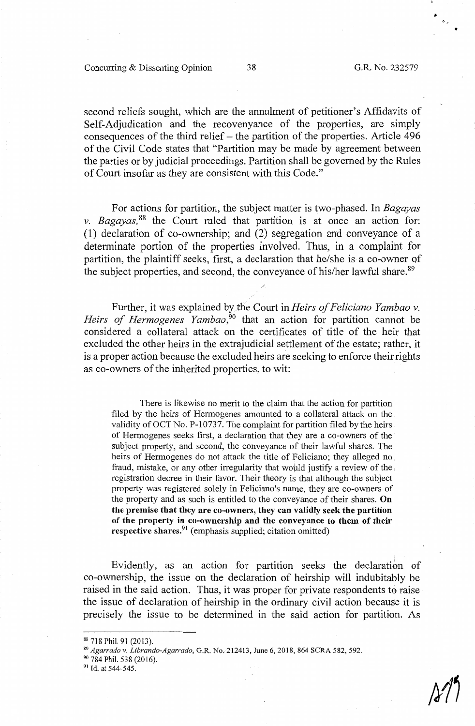,.

•

second reliefs sought, which are the annulment of petitioner's Affidavits of Self-Adjudication and the recovenyance of the properties, are simply consequences of the third relief  $-$  the partition of the properties. Article 496 of the Civil Code states that "Partition may be made by agreement between the parties or by judicial proceedings. Partition shall be governed by the <sup>1</sup> Rules of Court insofar as they are consistent with this Code."

For actions for partition, the subject matter is two-phased. In *Bagayas v. Bagayas,* 88 the Court ruled that partition is at once an action for: (1) declaration of co-ownership; and (2) segregation and conveyance of a determinate portion of the properties involved. Thus, in a complaint for partition, the plaintiff seeks, first, a declaration that he/she is a co-owner of the subject properties, and second, the conveyance of his/her lawful share.<sup>89</sup>

Further, it was explained bythe Court in *Heirs of Feliciano Yambao v.*  Heirs of Hermogenes Yambao,<sup>50</sup> that an action for partition cannot be considered a collateral attack on the certificates of title of the heir that excluded the other heirs in the extrajudicial settlement of the estate; rather, it is a proper action because the excluded heirs are seeking to enforce their rights as co-owners of the inherited properties, to wit:

There is likewise no merit to the claim that the action for partition filed by the heirs of Hermogenes amounted to a collateral attack on the validity of OCT No. P-10737. The complaint for partition filed by the heirs of Hermogenes seeks first, a declaration that they are a co-owners of the subject property, and second, the conveyance of their lawful shares. The heirs of Hermogenes do not attack the title of Feliciano; they alleged no fraud, mistake, or any other irregularity that would justify a review of the registration decree in their favor. Their theory is that although the subject property was registered solely in Feliciano's name, they are co-owners of the property and as such is entitled to the conveyance of their shares. **On the premise that they are co-owners, they can validly seek the partition of the property in co-ownership and the conveyance to them of their** <sup>1</sup> **respective shares.**<sup>91</sup> (emphasis supplied; citation omitted)

Evidently, as an action for partition seeks the declaration of co-ownership, the issue on the declaration of heirship will indubitably be raised in the said action. Thus, it was proper for private respondents to raise the issue of declaration of heirship in the ordinary civil action because it is precisely the issue to be determined in the said action for partition. As

 $\frac{\mathcal{S}}{\mathcal{S}}$ 

<sup>&</sup>lt;sup>88</sup> 718 Phil. 91 (2013).<br><sup>89</sup> *Agarrado v. Librando-Agarrado*, G.R. No. 212413, June 6, 2018, 864 SCRA 582, 592.<br><sup>90</sup> 784 Phil. 538 (2016).

<sup>&</sup>lt;sup>91</sup> Id. at 544-545.